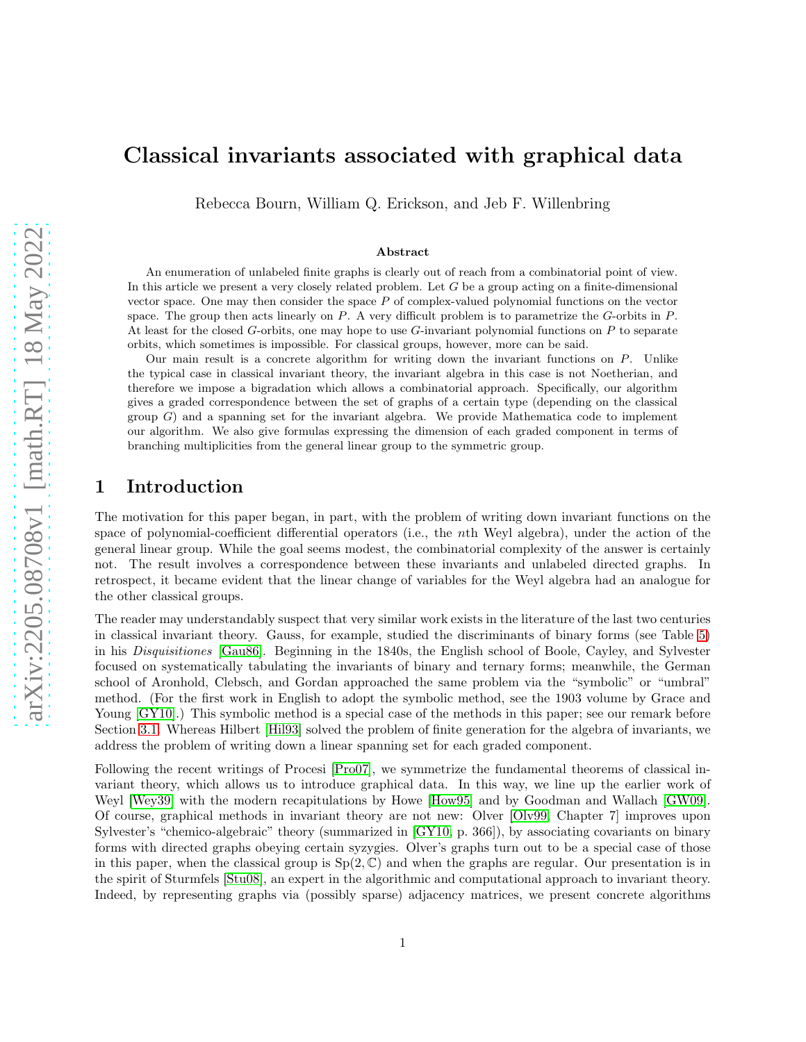# Classical invariants associated with graphical data

Rebecca Bourn, William Q. Erickson, and Jeb F. Willenbring

#### Abstract

An enumeration of unlabeled finite graphs is clearly out of reach from a combinatorial point of view. In this article we present a very closely related problem. Let G be a group acting on a finite-dimensional vector space. One may then consider the space  $P$  of complex-valued polynomial functions on the vector space. The group then acts linearly on  $P$ . A very difficult problem is to parametrize the  $G$ -orbits in  $P$ . At least for the closed  $G$ -orbits, one may hope to use  $G$ -invariant polynomial functions on P to separate orbits, which sometimes is impossible. For classical groups, however, more can be said.

Our main result is a concrete algorithm for writing down the invariant functions on P. Unlike the typical case in classical invariant theory, the invariant algebra in this case is not Noetherian, and therefore we impose a bigradation which allows a combinatorial approach. Specifically, our algorithm gives a graded correspondence between the set of graphs of a certain type (depending on the classical group  $G$ ) and a spanning set for the invariant algebra. We provide Mathematica code to implement our algorithm. We also give formulas expressing the dimension of each graded component in terms of branching multiplicities from the general linear group to the symmetric group.

# 1 Introduction

The motivation for this paper began, in part, with the problem of writing down invariant functions on the space of polynomial-coefficient differential operators (i.e., the nth Weyl algebra), under the action of the general linear group. While the goal seems modest, the combinatorial complexity of the answer is certainly not. The result involves a correspondence between these invariants and unlabeled directed graphs. In retrospect, it became evident that the linear change of variables for the Weyl algebra had an analogue for the other classical groups.

The reader may understandably suspect that very similar work exists in the literature of the last two centuries in classical invariant theory. Gauss, for example, studied the discriminants of binary forms (see Table [5\)](#page-9-0) in his *Disquisitiones* [\[Gau86\]](#page-17-0). Beginning in the 1840s, the English school of Boole, Cayley, and Sylvester focused on systematically tabulating the invariants of binary and ternary forms; meanwhile, the German school of Aronhold, Clebsch, and Gordan approached the same problem via the "symbolic" or "umbral" method. (For the first work in English to adopt the symbolic method, see the 1903 volume by Grace and Young  $(GY10)$ .) This symbolic method is a special case of the methods in this paper; see our remark before Section [3.1.](#page-3-0) Whereas Hilbert [\[Hil93\]](#page-17-2) solved the problem of finite generation for the algebra of invariants, we address the problem of writing down a linear spanning set for each graded component.

Following the recent writings of Procesi [\[Pro07\]](#page-18-0), we symmetrize the fundamental theorems of classical invariant theory, which allows us to introduce graphical data. In this way, we line up the earlier work of Weyl [\[Wey39\]](#page-18-1) with the modern recapitulations by Howe [\[How95\]](#page-18-2) and by Goodman and Wallach [\[GW09\]](#page-17-3). Of course, graphical methods in invariant theory are not new: Olver [\[Olv99,](#page-18-3) Chapter 7] improves upon Sylvester's "chemico-algebraic" theory (summarized in [\[GY10,](#page-17-1) p. 366]), by associating covariants on binary forms with directed graphs obeying certain syzygies. Olver's graphs turn out to be a special case of those in this paper, when the classical group is  $Sp(2, \mathbb{C})$  and when the graphs are regular. Our presentation is in the spirit of Sturmfels [\[Stu08\]](#page-18-4), an expert in the algorithmic and computational approach to invariant theory. Indeed, by representing graphs via (possibly sparse) adjacency matrices, we present concrete algorithms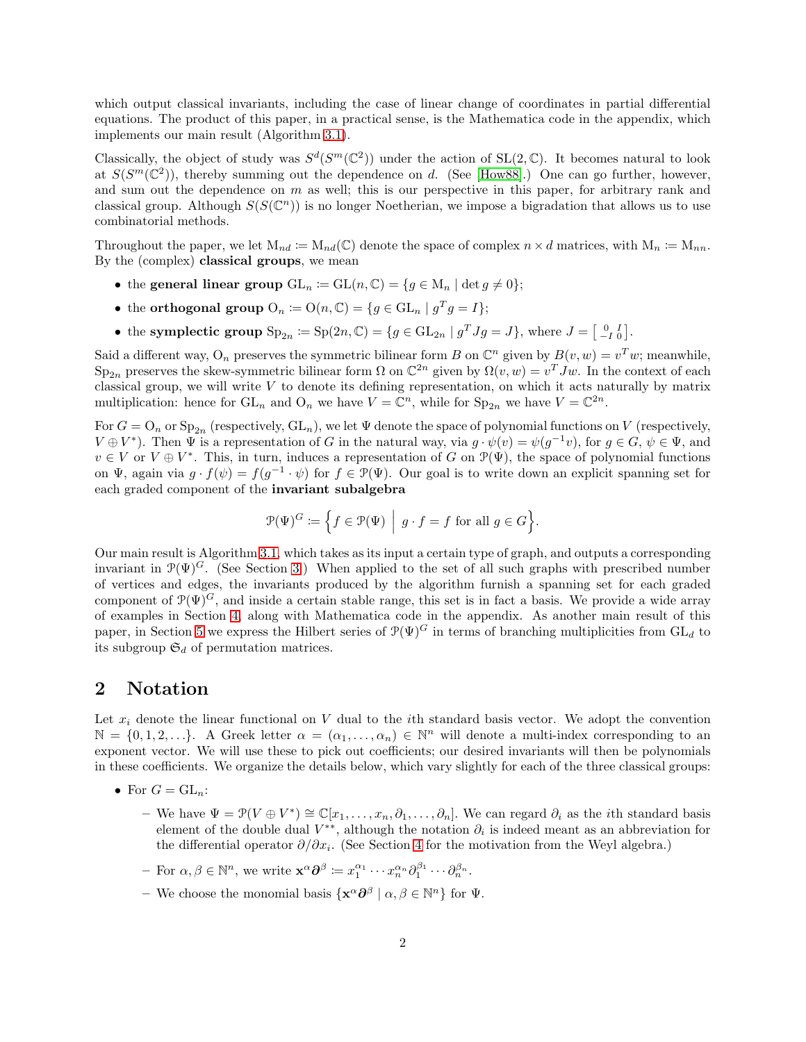which output classical invariants, including the case of linear change of coordinates in partial differential equations. The product of this paper, in a practical sense, is the Mathematica code in the appendix, which implements our main result (Algorithm [3.1\)](#page-3-1).

Classically, the object of study was  $S^d(S^m(\mathbb{C}^2))$  under the action of  $SL(2,\mathbb{C})$ . It becomes natural to look at  $S(S^m(\mathbb{C}^2))$ , thereby summing out the dependence on d. (See [\[How88\]](#page-18-5).) One can go further, however, and sum out the dependence on m as well; this is our perspective in this paper, for arbitrary rank and classical group. Although  $S(S(\mathbb{C}^n))$  is no longer Noetherian, we impose a bigradation that allows us to use combinatorial methods.

Throughout the paper, we let  $M_{nd} := M_{nd}(\mathbb{C})$  denote the space of complex  $n \times d$  matrices, with  $M_n := M_{nn}$ . By the (complex) classical groups, we mean

- the general linear group  $GL_n := GL(n, \mathbb{C}) = \{g \in M_n \mid \det g \neq 0\};$
- the orthogonal group  $O_n := O(n, \mathbb{C}) = \{g \in GL_n \mid g^Tg = I\};$
- the symplectic group  $\text{Sp}_{2n} \coloneqq \text{Sp}(2n, \mathbb{C}) = \{g \in \text{GL}_{2n} \mid g^T J g = J\}$ , where  $J = \begin{bmatrix} 0 & I \\ -I & 0 \end{bmatrix}$ .

Said a different way, O<sub>n</sub> preserves the symmetric bilinear form B on  $\mathbb{C}^n$  given by  $B(v, w) = v^T w$ ; meanwhile,  $Sp_{2n}$  preserves the skew-symmetric bilinear form  $\Omega$  on  $\mathbb{C}^{2n}$  given by  $\Omega(v, w) = v^T J w$ . In the context of each classical group, we will write V to denote its defining representation, on which it acts naturally by matrix multiplication: hence for  $GL_n$  and  $O_n$  we have  $V = \mathbb{C}^n$ , while for  $Sp_{2n}$  we have  $V = \mathbb{C}^{2n}$ .

For  $G = O_n$  or  $Sp_{2n}$  (respectively,  $GL_n$ ), we let  $\Psi$  denote the space of polynomial functions on  $V$  (respectively,  $V \oplus V^*$ ). Then  $\Psi$  is a representation of G in the natural way, via  $g \cdot \psi(v) = \psi(g^{-1}v)$ , for  $g \in G$ ,  $\psi \in \Psi$ , and  $v \in V$  or  $V \oplus V^*$ . This, in turn, induces a representation of G on  $\mathcal{P}(\Psi)$ , the space of polynomial functions on  $\Psi$ , again via  $g \cdot f(\psi) = f(g^{-1} \cdot \psi)$  for  $f \in \mathcal{P}(\Psi)$ . Our goal is to write down an explicit spanning set for each graded component of the invariant subalgebra

$$
\mathcal{P}(\Psi)^G \coloneqq \Big\{ f \in \mathcal{P}(\Psi) \ \Big| \ g \cdot f = f \text{ for all } g \in G \Big\}.
$$

Our main result is Algorithm [3.1,](#page-3-1) which takes as its input a certain type of graph, and outputs a corresponding invariant in  $\mathcal{P}(\Psi)$ <sup>G</sup>. (See Section [3.](#page-2-0)) When applied to the set of all such graphs with prescribed number of vertices and edges, the invariants produced by the algorithm furnish a spanning set for each graded component of  $\mathcal{P}(\Psi)^G$ , and inside a certain stable range, this set is in fact a basis. We provide a wide array of examples in Section [4,](#page-6-0) along with Mathematica code in the appendix. As another main result of this paper, in Section [5](#page-10-0) we express the Hilbert series of  $\mathcal{P}(\Psi)^G$  in terms of branching multiplicities from  $GL_d$  to its subgroup  $\mathfrak{S}_d$  of permutation matrices.

### <span id="page-1-0"></span>2 Notation

Let  $x_i$  denote the linear functional on V dual to the *i*th standard basis vector. We adopt the convention  $\mathbb{N} = \{0, 1, 2, \ldots\}$ . A Greek letter  $\alpha = (\alpha_1, \ldots, \alpha_n) \in \mathbb{N}^n$  will denote a multi-index corresponding to an exponent vector. We will use these to pick out coefficients; our desired invariants will then be polynomials in these coefficients. We organize the details below, which vary slightly for each of the three classical groups:

- For  $G = GL_n$ :
	- $-$  We have  $\Psi = \mathcal{P}(V \oplus V^*) \cong \mathbb{C}[x_1,\ldots,x_n,\partial_1,\ldots,\partial_n]$ . We can regard  $\partial_i$  as the *i*th standard basis element of the double dual  $V^{**}$ , although the notation  $\partial_i$  is indeed meant as an abbreviation for the differential operator  $\partial/\partial x_i$ . (See Section [4](#page-6-0) for the motivation from the Weyl algebra.)
	- For  $\alpha, \beta \in \mathbb{N}^n$ , we write  $\mathbf{x}^{\alpha} \partial^{\beta} \coloneqq x_1^{\alpha_1} \cdots x_n^{\alpha_n} \partial_1^{\beta_1} \cdots \partial_n^{\beta_n}$ .
	- We choose the monomial basis  $\{ \mathbf{x}^{\alpha} \partial^{\beta} \mid \alpha, \beta \in \mathbb{N}^{n} \}$  for  $\Psi$ .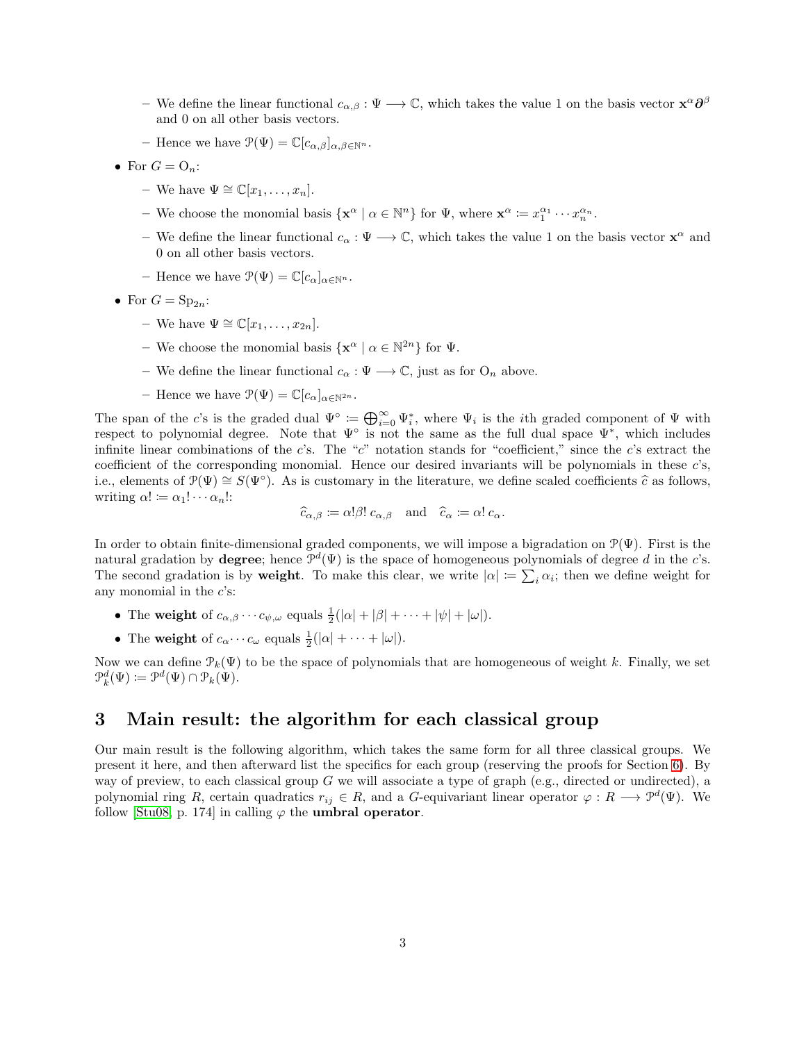- We define the linear functional  $c_{\alpha,\beta} : \Psi \longrightarrow \mathbb{C}$ , which takes the value 1 on the basis vector  $\mathbf{x}^{\alpha} \partial^{\beta}$ and 0 on all other basis vectors.
- Hence we have  $\mathcal{P}(\Psi) = \mathbb{C}[c_{\alpha,\beta}]_{\alpha,\beta \in \mathbb{N}^n}$ .
- For  $G = O_n$ :
	- We have  $\Psi \cong \mathbb{C}[x_1,\ldots,x_n].$
	- We choose the monomial basis  $\{\mathbf{x}^{\alpha} \mid \alpha \in \mathbb{N}^n\}$  for  $\Psi$ , where  $\mathbf{x}^{\alpha} := x_1^{\alpha_1} \cdots x_n^{\alpha_n}$ .
	- We define the linear functional  $c_{\alpha} : \Psi \longrightarrow \mathbb{C}$ , which takes the value 1 on the basis vector  $\mathbf{x}^{\alpha}$  and 0 on all other basis vectors.
	- Hence we have  $\mathcal{P}(\Psi) = \mathbb{C}[c_{\alpha}]_{\alpha \in \mathbb{N}^n}$ .
- For  $G = \mathrm{Sp}_{2n}$ :
	- We have  $\Psi \cong \mathbb{C}[x_1,\ldots,x_{2n}].$
	- We choose the monomial basis  $\{x^{\alpha} \mid \alpha \in \mathbb{N}^{2n}\}\)$  for  $\Psi$ .
	- We define the linear functional  $c_{\alpha} : \Psi \longrightarrow \mathbb{C}$ , just as for  $O_n$  above.
	- Hence we have  $\mathcal{P}(\Psi) = \mathbb{C}[c_{\alpha}]_{\alpha \in \mathbb{N}^{2n}}$ .

The span of the c's is the graded dual  $\Psi^{\circ} := \bigoplus_{i=0}^{\infty} \Psi_i^*$ , where  $\Psi_i$  is the *i*th graded component of  $\Psi$  with respect to polynomial degree. Note that  $\Psi^{\circ}$  is not the same as the full dual space  $\Psi^*$ , which includes infinite linear combinations of the c's. The "c" notation stands for "coefficient," since the c's extract the coefficient of the corresponding monomial. Hence our desired invariants will be polynomials in these c's, i.e., elements of  $\mathcal{P}(\Psi) \cong S(\Psi^{\circ})$ . As is customary in the literature, we define scaled coefficients  $\hat{c}$  as follows, writing  $\alpha! \coloneqq \alpha_1! \cdots \alpha_n!$ :

$$
\widehat{c}_{\alpha,\beta} \coloneqq \alpha!\beta!\, c_{\alpha,\beta} \quad \text{and} \quad \widehat{c}_{\alpha} \coloneqq \alpha!\, c_{\alpha}.
$$

In order to obtain finite-dimensional graded components, we will impose a bigradation on  $\mathcal{P}(\Psi)$ . First is the natural gradation by **degree**; hence  $\mathcal{P}^d(\Psi)$  is the space of homogeneous polynomials of degree d in the c's. The second gradation is by **weight**. To make this clear, we write  $|\alpha| := \sum_i \alpha_i$ ; then we define weight for any monomial in the  $c$ 's:

- The weight of  $c_{\alpha,\beta}\cdots c_{\psi,\omega}$  equals  $\frac{1}{2}(|\alpha|+|\beta|+\cdots+|\psi|+|\omega|)$ .
- The weight of  $c_{\alpha} \cdots c_{\omega}$  equals  $\frac{1}{2}(|\alpha| + \cdots + |\omega|)$ .

Now we can define  $\mathcal{P}_k(\Psi)$  to be the space of polynomials that are homogeneous of weight k. Finally, we set  $\mathcal{P}_k^d(\Psi) \coloneqq \mathcal{P}^d(\Psi) \cap \mathcal{P}_k(\Psi).$ 

# <span id="page-2-0"></span>3 Main result: the algorithm for each classical group

Our main result is the following algorithm, which takes the same form for all three classical groups. We present it here, and then afterward list the specifics for each group (reserving the proofs for Section [6\)](#page-11-0). By way of preview, to each classical group  $G$  we will associate a type of graph (e.g., directed or undirected), a polynomial ring R, certain quadratics  $r_{ij} \in R$ , and a G-equivariant linear operator  $\varphi: R \longrightarrow \mathcal{P}^d(\Psi)$ . We follow [\[Stu08,](#page-18-4) p. 174] in calling  $\varphi$  the **umbral operator**.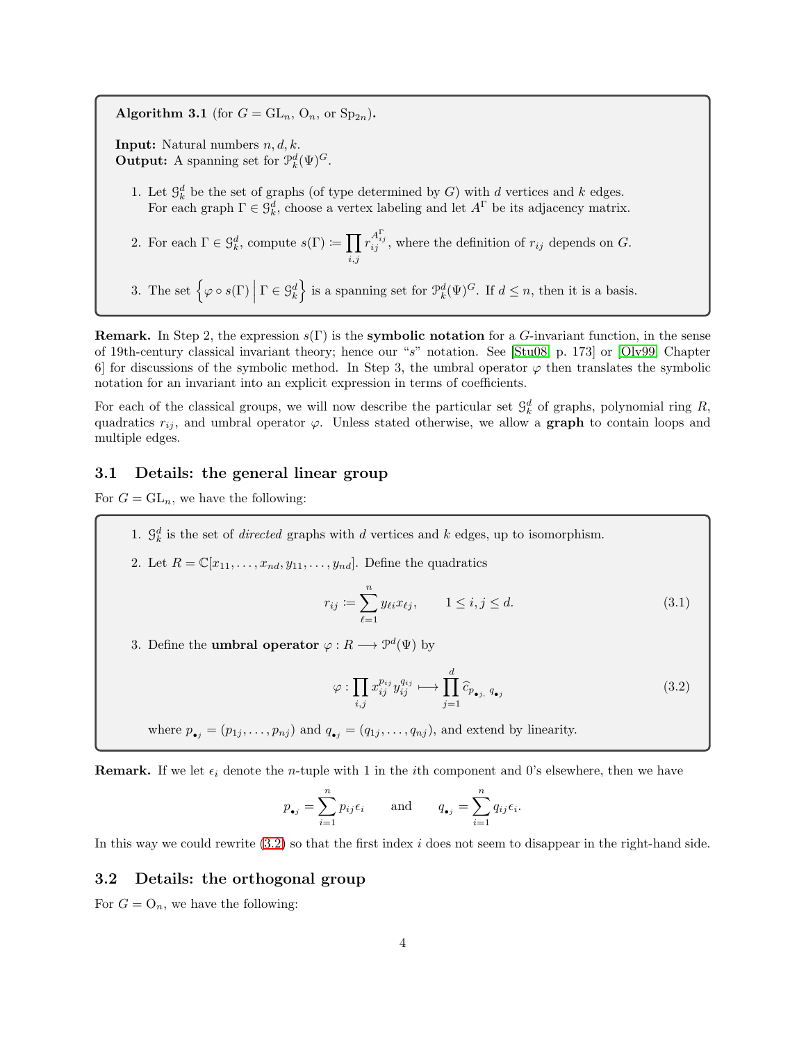<span id="page-3-1"></span>Algorithm 3.1 (for  $G = GL_n$ ,  $O_n$ , or  $Sp_{2n}$ ).

**Input:** Natural numbers  $n, d, k$ . **Output:** A spanning set for  $\mathcal{P}_k^d(\Psi)^G$ .

- 1. Let  $\mathcal{G}_k^d$  be the set of graphs (of type determined by G) with d vertices and k edges. For each graph  $\Gamma \in \mathcal{G}_{k}^d$ , choose a vertex labeling and let  $A^{\Gamma}$  be its adjacency matrix.
- 2. For each  $\Gamma \in \mathcal{G}_k^d$ , compute  $s(\Gamma) \coloneqq \prod$  $_{i,j}$  $r_{ij}^{A_{ij}^{\Gamma}}$ , where the definition of  $r_{ij}$  depends on G.

3. The set  $\left\{\varphi \circ s(\Gamma) \middle| \Gamma \in \mathcal{G}_k^d\right\}$  is a spanning set for  $\mathcal{P}_k^d(\Psi)^G$ . If  $d \leq n$ , then it is a basis.

**Remark.** In Step 2, the expression  $s(\Gamma)$  is the **symbolic notation** for a G-invariant function, in the sense of 19th-century classical invariant theory; hence our "s" notation. See [\[Stu08,](#page-18-4) p. 173] or [\[Olv99,](#page-18-3) Chapter 6] for discussions of the symbolic method. In Step 3, the umbral operator  $\varphi$  then translates the symbolic notation for an invariant into an explicit expression in terms of coefficients.

For each of the classical groups, we will now describe the particular set  $\mathcal{G}_k^d$  of graphs, polynomial ring R, quadratics  $r_{ij}$ , and umbral operator  $\varphi$ . Unless stated otherwise, we allow a **graph** to contain loops and multiple edges.

### <span id="page-3-0"></span>3.1 Details: the general linear group

For  $G = GL_n$ , we have the following:

- 1.  $\mathcal{G}_k^d$  is the set of *directed* graphs with d vertices and k edges, up to isomorphism.
- 2. Let  $R = \mathbb{C}[x_{11}, \ldots, x_{nd}, y_{11}, \ldots, y_{nd}]$ . Define the quadratics

<span id="page-3-3"></span>
$$
r_{ij} := \sum_{\ell=1}^{n} y_{\ell i} x_{\ell j}, \qquad 1 \le i, j \le d.
$$
 (3.1)

3. Define the **umbral operator**  $\varphi : R \longrightarrow \mathcal{P}^d(\Psi)$  by

<span id="page-3-2"></span>
$$
\varphi : \prod_{i,j} x_{ij}^{p_{ij}} y_{ij}^{q_{ij}} \longmapsto \prod_{j=1}^{d} \widehat{c}_{p_{\bullet j, q_{\bullet j}}} \tag{3.2}
$$

where  $p_{\bullet j} = (p_{1j}, \ldots, p_{nj})$  and  $q_{\bullet j} = (q_{1j}, \ldots, q_{nj})$ , and extend by linearity.

**Remark.** If we let  $\epsilon_i$  denote the *n*-tuple with 1 in the *i*th component and 0's elsewhere, then we have

$$
p_{\bullet j} = \sum_{i=1}^{n} p_{ij} \epsilon_i
$$
 and  $q_{\bullet j} = \sum_{i=1}^{n} q_{ij} \epsilon_i$ .

In this way we could rewrite  $(3.2)$  so that the first index i does not seem to disappear in the right-hand side.

#### 3.2 Details: the orthogonal group

For  $G = O_n$ , we have the following: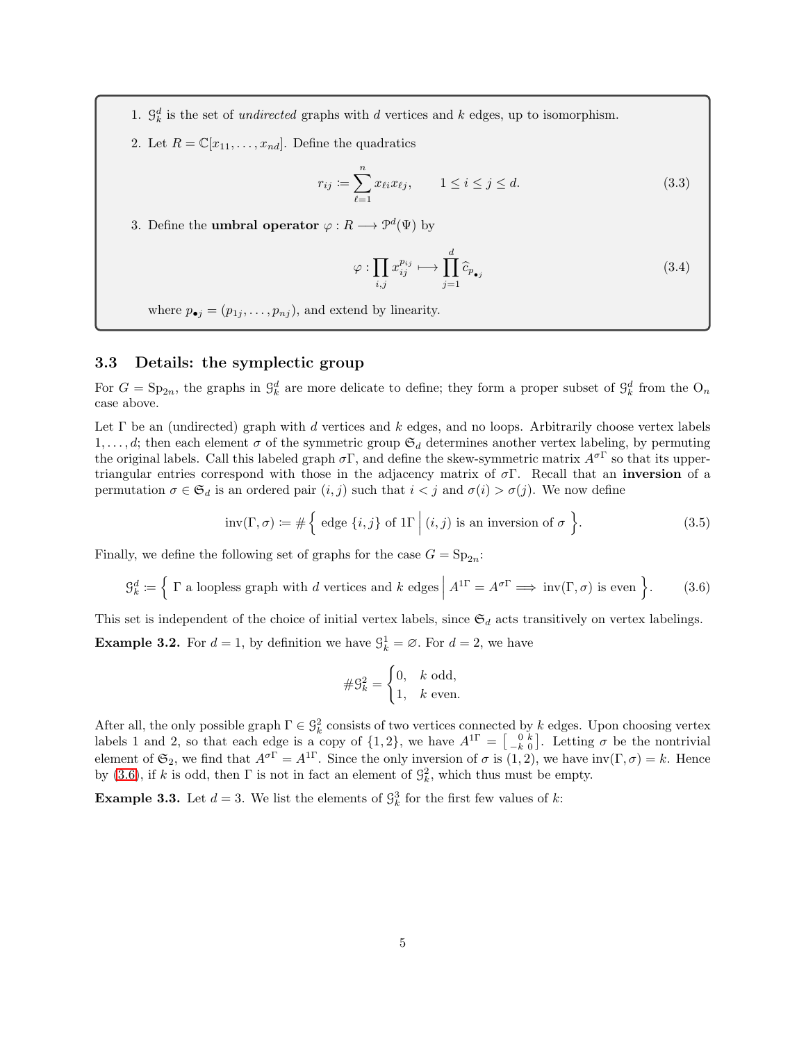- 1.  $\mathcal{G}_k^d$  is the set of *undirected* graphs with d vertices and k edges, up to isomorphism.
- 2. Let  $R = \mathbb{C}[x_{11}, \ldots, x_{nd}]$ . Define the quadratics

<span id="page-4-2"></span>
$$
r_{ij} := \sum_{\ell=1}^{n} x_{\ell i} x_{\ell j}, \qquad 1 \le i \le j \le d.
$$
 (3.3)

3. Define the **umbral operator**  $\varphi : R \longrightarrow \mathcal{P}^d(\Psi)$  by

<span id="page-4-3"></span>
$$
\varphi : \prod_{i,j} x_{ij}^{p_{ij}} \longmapsto \prod_{j=1}^{d} \widehat{c}_{p_{\bullet j}} \tag{3.4}
$$

where  $p_{\bullet j} = (p_{1j}, \ldots, p_{nj})$ , and extend by linearity.

#### <span id="page-4-1"></span>3.3 Details: the symplectic group

For  $G = \text{Sp}_{2n}$ , the graphs in  $\mathcal{G}_k^d$  are more delicate to define; they form a proper subset of  $\mathcal{G}_k^d$  from the  $O_n$ case above.

Let  $\Gamma$  be an (undirected) graph with d vertices and k edges, and no loops. Arbitrarily choose vertex labels 1, ..., d; then each element  $\sigma$  of the symmetric group  $\mathfrak{S}_d$  determines another vertex labeling, by permuting the original labels. Call this labeled graph  $\sigma \Gamma$ , and define the skew-symmetric matrix  $A^{\sigma \Gamma}$  so that its uppertriangular entries correspond with those in the adjacency matrix of  $\sigma \Gamma$ . Recall that an **inversion** of a permutation  $\sigma \in \mathfrak{S}_d$  is an ordered pair  $(i, j)$  such that  $i < j$  and  $\sigma(i) > \sigma(j)$ . We now define

<span id="page-4-4"></span>
$$
inv(\Gamma, \sigma) \coloneqq \# \left\{ \text{ edge } \{i, j\} \text{ of } \mathbb{1}\Gamma \, \Big| \, (i, j) \text{ is an inversion of } \sigma \right\}. \tag{3.5}
$$

Finally, we define the following set of graphs for the case  $G = \mathrm{Sp}_{2n}$ :

<span id="page-4-0"></span>
$$
\mathcal{G}_k^d \coloneqq \left\{ \Gamma \text{ a loopless graph with } d \text{ vertices and } k \text{ edges } \middle| A^{1\Gamma} = A^{\sigma\Gamma} \Longrightarrow \text{inv}(\Gamma, \sigma) \text{ is even } \right\}. \tag{3.6}
$$

This set is independent of the choice of initial vertex labels, since  $\mathfrak{S}_d$  acts transitively on vertex labelings.

**Example 3.2.** For  $d = 1$ , by definition we have  $\mathcal{G}_k^1 = \emptyset$ . For  $d = 2$ , we have

$$
\#\mathcal{G}_k^2 = \begin{cases} 0, & k \text{ odd,} \\ 1, & k \text{ even.} \end{cases}
$$

After all, the only possible graph  $\Gamma \in \mathcal{G}_k^2$  consists of two vertices connected by k edges. Upon choosing vertex labels 1 and 2, so that each edge is a copy of  $\{1,2\}$ , we have  $A^{1}\Gamma = \begin{bmatrix} 0 & k \ -k & 0 \end{bmatrix}$ . Letting  $\sigma$  be the nontrivial element of  $\mathfrak{S}_2$ , we find that  $A^{\sigma\Gamma} = A^{\Gamma\Gamma}$ . Since the only inversion of  $\sigma$  is  $(1, 2)$ , we have  $inv(\Gamma, \sigma) = k$ . Hence by [\(3.6\)](#page-4-0), if k is odd, then  $\Gamma$  is not in fact an element of  $\mathcal{G}_k^2$ , which thus must be empty.

**Example 3.3.** Let  $d = 3$ . We list the elements of  $\mathcal{G}_k^3$  for the first few values of k: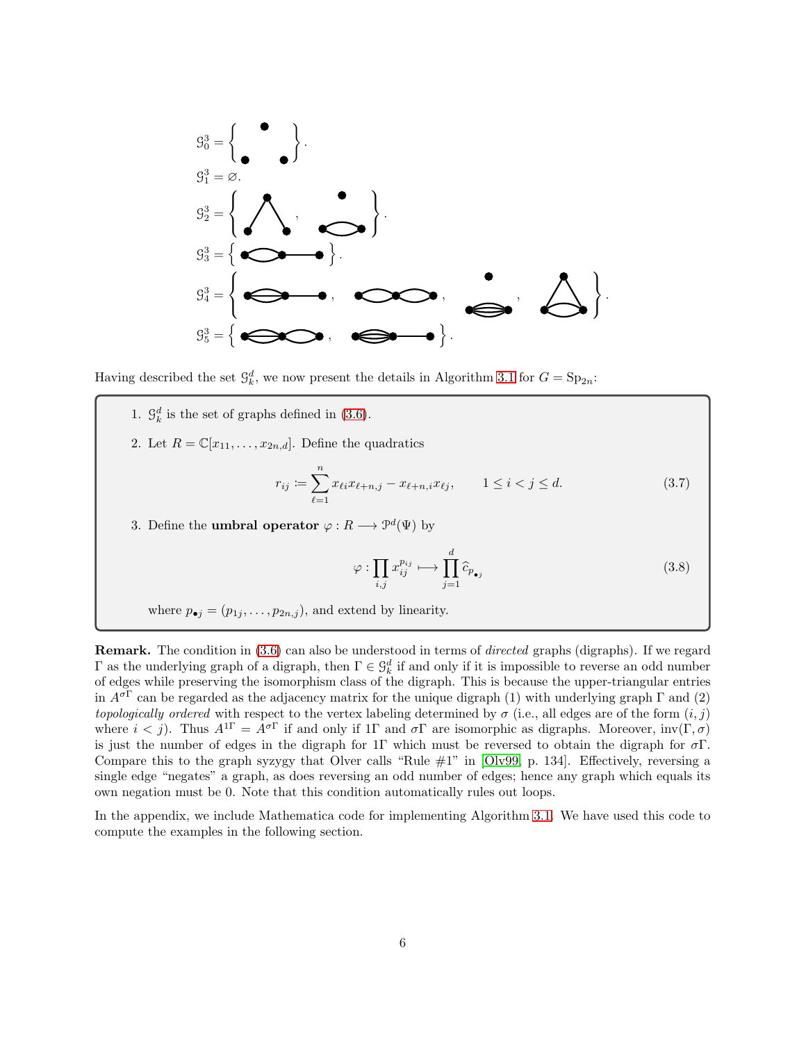

Having described the set  $\mathcal{G}_{k}^{d}$ , we now present the details in Algorithm [3.1](#page-3-1) for  $G = \text{Sp}_{2n}$ :

- 1.  $\mathcal{G}_k^d$  is the set of graphs defined in [\(3.6\)](#page-4-0).
- 2. Let  $R = \mathbb{C}[x_{11}, \ldots, x_{2n,d}]$ . Define the quadratics

<span id="page-5-0"></span>
$$
r_{ij} := \sum_{\ell=1}^{n} x_{\ell i} x_{\ell+n,j} - x_{\ell+n,i} x_{\ell j}, \qquad 1 \le i < j \le d. \tag{3.7}
$$

3. Define the **umbral operator**  $\varphi : R \longrightarrow \mathcal{P}^d(\Psi)$  by

<span id="page-5-1"></span>
$$
\varphi : \prod_{i,j} x_{ij}^{p_{ij}} \longmapsto \prod_{j=1}^{d} \widehat{c}_{p_{\bullet j}} \tag{3.8}
$$

where  $p_{\bullet j} = (p_{1j}, \ldots, p_{2n,j})$ , and extend by linearity.

Remark. The condition in [\(3.6\)](#page-4-0) can also be understood in terms of *directed* graphs (digraphs). If we regard  $Γ$  as the underlying graph of a digraph, then  $Γ ∈ G_k^d$  if and only if it is impossible to reverse an odd number of edges while preserving the isomorphism class of the digraph. This is because the upper-triangular entries in  $A^{\sigma\Gamma}$  can be regarded as the adjacency matrix for the unique digraph (1) with underlying graph  $\Gamma$  and (2) *topologically ordered* with respect to the vertex labeling determined by  $\sigma$  (i.e., all edges are of the form  $(i, j)$ ) where  $i < j$ ). Thus  $A^{1\Gamma} = A^{\sigma\Gamma}$  if and only if 1 $\Gamma$  and  $\sigma\Gamma$  are isomorphic as digraphs. Moreover,  $inv(\Gamma, \sigma)$ is just the number of edges in the digraph for 1Γ which must be reversed to obtain the digraph for  $\sigma\Gamma$ . Compare this to the graph syzygy that Olver calls "Rule #1" in [\[Olv99,](#page-18-3) p. 134]. Effectively, reversing a single edge "negates" a graph, as does reversing an odd number of edges; hence any graph which equals its own negation must be 0. Note that this condition automatically rules out loops.

In the appendix, we include Mathematica code for implementing Algorithm [3.1.](#page-3-1) We have used this code to compute the examples in the following section.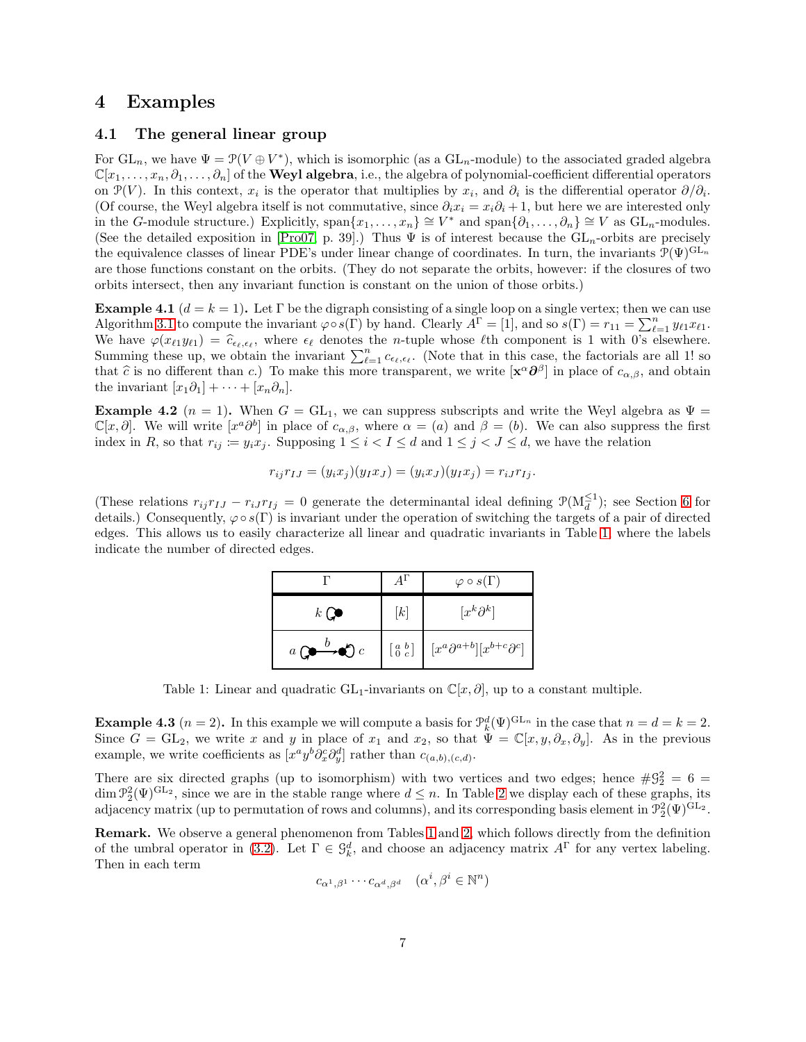### <span id="page-6-0"></span>4 Examples

#### 4.1 The general linear group

For  $GL_n$ , we have  $\Psi = \mathcal{P}(V \oplus V^*)$ , which is isomorphic (as a  $GL_n$ -module) to the associated graded algebra  $\mathbb{C}[x_1,\ldots,x_n,\partial_1,\ldots,\partial_n]$  of the **Weyl algebra**, i.e., the algebra of polynomial-coefficient differential operators on  $\mathcal{P}(V)$ . In this context,  $x_i$  is the operator that multiplies by  $x_i$ , and  $\partial_i$  is the differential operator  $\partial/\partial_i$ . (Of course, the Weyl algebra itself is not commutative, since  $\partial_i x_i = x_i \partial_i + 1$ , but here we are interested only in the G-module structure.) Explicitly, span $\{x_1, \ldots, x_n\} \cong V^*$  and span $\{\partial_1, \ldots, \partial_n\} \cong V$  as  $GL_n$ -modules. (See the detailed exposition in [\[Pro07,](#page-18-0) p. 39].) Thus  $\Psi$  is of interest because the  $GL_n$ -orbits are precisely the equivalence classes of linear PDE's under linear change of coordinates. In turn, the invariants  $\mathcal{P}(\Psi)^{\mathrm{GL}_n}$ are those functions constant on the orbits. (They do not separate the orbits, however: if the closures of two orbits intersect, then any invariant function is constant on the union of those orbits.)

**Example 4.1**  $(d = k = 1)$ . Let Γ be the digraph consisting of a single loop on a single vertex; then we can use Algorithm [3.1](#page-3-1) to compute the invariant  $\varphi \circ s(\Gamma)$  by hand. Clearly  $A^{\Gamma} = [1]$ , and so  $s(\Gamma) = r_{11} = \sum_{\ell=1}^{n} y_{\ell 1} x_{\ell 1}$ . We have  $\varphi(x_{\ell 1}y_{\ell 1}) = \hat{c}_{\epsilon_{\ell},\epsilon_{\ell}}$ , where  $\epsilon_{\ell}$  denotes the *n*-tuple whose  $\ell$ th component is 1 with 0's elsewhere. Summing these up, we obtain the invariant  $\sum_{\ell=1}^n c_{\epsilon_\ell,\epsilon_\ell}$ . (Note that in this case, the factorials are all 1! so that  $\hat{c}$  is no different than c.) To make this more transparent, we write  $[\mathbf{x}^{\alpha} \partial^{\beta}]$  in place of  $c_{\alpha,\beta}$ , and obtain the invariant  $[x_1\partial_1] + \cdots + [x_n\partial_n]$ .

**Example 4.2** ( $n = 1$ ). When  $G = GL_1$ , we can suppress subscripts and write the Weyl algebra as  $\Psi =$  $\mathbb{C}[x,\partial]$ . We will write  $[x^a\partial^b]$  in place of  $c_{\alpha,\beta}$ , where  $\alpha=(a)$  and  $\beta=(b)$ . We can also suppress the first index in R, so that  $r_{ij} := y_i x_j$ . Supposing  $1 \leq i < I \leq d$  and  $1 \leq j < J \leq d$ , we have the relation

$$
r_{ij}r_{IJ}=(y_ix_j)(y_Ix_J)=(y_ix_J)(y_Ix_j)=r_{iJ}r_{Ij}.
$$

<span id="page-6-1"></span>(These relations  $r_{ij}r_{IJ} - r_{iJ}r_{Ij} = 0$  generate the determinantal ideal defining  $\mathcal{P}(M_d^{\leq 1})$ ; see Section [6](#page-11-0) for details.) Consequently,  $\varphi \circ s(\Gamma)$  is invariant under the operation of switching the targets of a pair of directed edges. This allows us to easily characterize all linear and quadratic invariants in Table [1,](#page-6-1) where the labels indicate the number of directed edges.

|                                                    |                                                                     | $\varphi \circ s(\Gamma)$                              |
|----------------------------------------------------|---------------------------------------------------------------------|--------------------------------------------------------|
| $k$ (                                              | [k]                                                                 | $[x^k\partial^k]$                                      |
| $\overline{v}$<br>a <sub>l</sub><br>$\mathfrak{c}$ | $\left[\begin{smallmatrix} a & b \\ 0 & c \end{smallmatrix}\right]$ | $\left[ x^a \partial^{a+b}][x^{b+c}\partial^c \right]$ |

Table 1: Linear and quadratic GL<sub>1</sub>-invariants on  $\mathbb{C}[x, \partial]$ , up to a constant multiple.

**Example 4.3**  $(n = 2)$ . In this example we will compute a basis for  $\mathcal{P}_k^d(\Psi)^{\text{GL}_n}$  in the case that  $n = d = k = 2$ . Since  $G = GL_2$ , we write x and y in place of  $x_1$  and  $x_2$ , so that  $\Psi = \mathbb{C}[x, y, \partial_x, \partial_y]$ . As in the previous example, we write coefficients as  $[x^a y^b \partial_x^c \partial_y^d]$  rather than  $c_{(a,b),(c,d)}$ .

There are six directed graphs (up to isomorphism) with two vertices and two edges; hence  $\#\mathcal{G}_2^2 = 6 =$  $\dim \mathcal{P}_2^2(\Psi)^{\mathrm{GL}_2}$ , since we are in the stable range where  $d \leq n$ . In Table [2](#page-7-0) we display each of these graphs, its adjacency matrix (up to permutation of rows and columns), and its corresponding basis element in  $\mathcal{P}_2^2(\Psi)^{\rm GL_2}$ .

Remark. We observe a general phenomenon from Tables [1](#page-6-1) and [2,](#page-7-0) which follows directly from the definition of the umbral operator in [\(3.2\)](#page-3-2). Let  $\Gamma \in \mathcal{G}_k^d$ , and choose an adjacency matrix  $A^{\Gamma}$  for any vertex labeling. Then in each term

$$
c_{\alpha^1, \beta^1} \cdots c_{\alpha^d, \beta^d} \quad (\alpha^i, \beta^i \in \mathbb{N}^n)
$$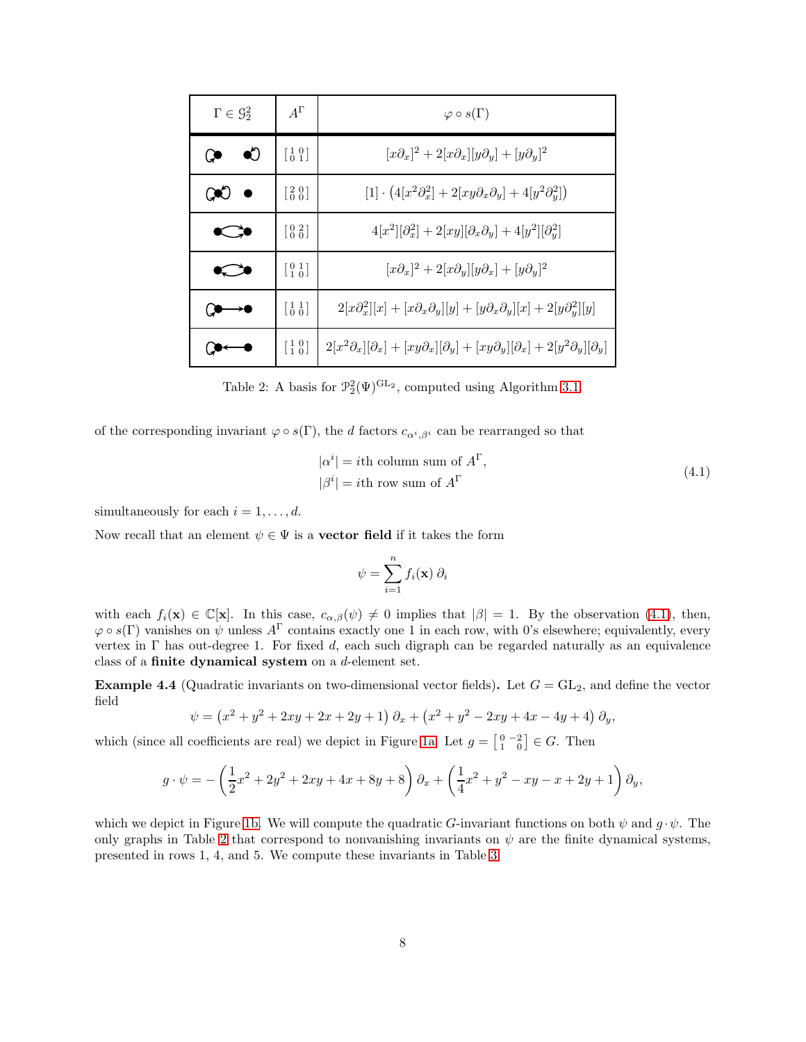<span id="page-7-0"></span>

| $\Gamma \in \mathcal{G}_2^2$ | $A^{\Gamma}$                                                        | $\varphi \circ s(\Gamma)$                                                                                               |
|------------------------------|---------------------------------------------------------------------|-------------------------------------------------------------------------------------------------------------------------|
| 60                           | $\begin{bmatrix} 1 & 0 \\ 0 & 1 \end{bmatrix}$                      | $[x\partial_x]^2 + 2[x\partial_x][y\partial_y] + [y\partial_y]^2$                                                       |
|                              | $\begin{bmatrix} 2 & 0 \\ 0 & 0 \end{bmatrix}$                      | $[1] \cdot (4[x^2\partial_x^2] + 2[xy\partial_x\partial_y] + 4[y^2\partial_y^2])$                                       |
|                              | $\left[\begin{smallmatrix} 0 & 2 \\ 0 & 0 \end{smallmatrix}\right]$ | $4[x^2][\partial_x^2]+2[xy][\partial_x\partial_y]+4[y^2][\partial_y^2]$                                                 |
|                              | $\left[\begin{smallmatrix} 0 & 1 \\ 1 & 0 \end{smallmatrix}\right]$ | $[x\partial_x]^2 + 2[x\partial_y][y\partial_x] + [y\partial_y]^2$                                                       |
|                              | $\left[\begin{smallmatrix}1&1\\0&0\end{smallmatrix}\right]$         | $2[x\partial_x^2][x] + [x\partial_x\partial_y][y] + [y\partial_x\partial_y][x] + 2[y\partial_y^2][y]$                   |
|                              | $\begin{bmatrix} 1 & 0 \\ 1 & 0 \end{bmatrix}$                      | $2[x^2\partial_x][\partial_x] + [xy\partial_x][\partial_y] + [xy\partial_y][\partial_x] + 2[y^2\partial_y][\partial_y]$ |

Table 2: A basis for  $\mathcal{P}_2^2(\Psi)^{\mathrm{GL}_2}$ , computed using Algorithm [3.1.](#page-3-1)

of the corresponding invariant  $\varphi \circ s(\Gamma)$ , the d factors  $c_{\alpha^i,\beta^i}$  can be rearranged so that

$$
|\alpha^{i}| = i\text{th column sum of } A^{\Gamma},
$$
  

$$
|\beta^{i}| = i\text{th row sum of } A^{\Gamma}
$$
 (4.1)

simultaneously for each  $i = 1, \ldots, d$ .

Now recall that an element  $\psi \in \Psi$  is a **vector field** if it takes the form

<span id="page-7-1"></span>
$$
\psi = \sum_{i=1}^{n} f_i(\mathbf{x}) \partial_i
$$

with each  $f_i(\mathbf{x}) \in \mathbb{C}[\mathbf{x}]$ . In this case,  $c_{\alpha,\beta}(\psi) \neq 0$  implies that  $|\beta| = 1$ . By the observation [\(4.1\)](#page-7-1), then,  $\varphi \circ s(\Gamma)$  vanishes on  $\psi$  unless  $A^{\Gamma}$  contains exactly one 1 in each row, with 0's elsewhere; equivalently, every vertex in  $\Gamma$  has out-degree 1. For fixed d, each such digraph can be regarded naturally as an equivalence class of a finite dynamical system on a d-element set.

<span id="page-7-2"></span>**Example 4.4** (Quadratic invariants on two-dimensional vector fields). Let  $G = GL_2$ , and define the vector field

$$
\psi = (x^2 + y^2 + 2xy + 2x + 2y + 1) \partial_x + (x^2 + y^2 - 2xy + 4x - 4y + 4) \partial_y,
$$

which (since all coefficients are real) we depict in Figure [1a.](#page-8-0) Let  $g = \begin{bmatrix} 0 & -2 \\ 1 & 0 \end{bmatrix} \in G$ . Then

$$
g \cdot \psi = -\left(\frac{1}{2}x^2 + 2y^2 + 2xy + 4x + 8y + 8\right)\partial_x + \left(\frac{1}{4}x^2 + y^2 - xy - x + 2y + 1\right)\partial_y,
$$

which we depict in Figure [1b.](#page-8-0) We will compute the quadratic G-invariant functions on both  $\psi$  and  $g \cdot \psi$ . The only graphs in Table [2](#page-7-0) that correspond to nonvanishing invariants on  $\psi$  are the finite dynamical systems, presented in rows 1, 4, and 5. We compute these invariants in Table [3.](#page-8-1)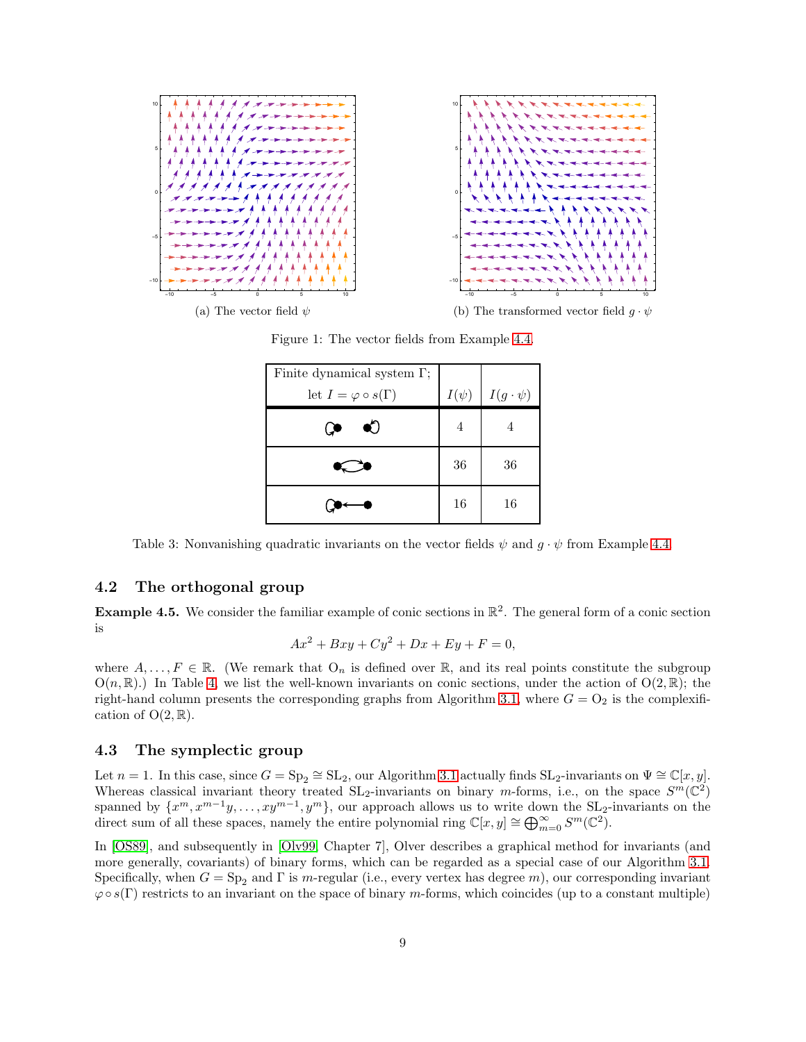<span id="page-8-0"></span>

<span id="page-8-1"></span>(a) The vector field  $\psi$ 

(b) The transformed vector field  $g \cdot \psi$ 

| Finite dynamical system $\Gamma$ ; |           |                   |
|------------------------------------|-----------|-------------------|
| let $I = \varphi \circ s(\Gamma)$  | $I(\psi)$ | $I(g \cdot \psi)$ |
|                                    | 4         |                   |
|                                    | 36        | 36                |
|                                    | 16        | 16                |

Figure 1: The vector fields from Example [4.4.](#page-7-2)

Table 3: Nonvanishing quadratic invariants on the vector fields  $\psi$  and  $q \cdot \psi$  from Example [4.4.](#page-7-2)

#### 4.2 The orthogonal group

**Example 4.5.** We consider the familiar example of conic sections in  $\mathbb{R}^2$ . The general form of a conic section is

$$
Ax2 + Bxy + Cy2 + Dx + Ey + F = 0,
$$

where  $A, \ldots, F \in \mathbb{R}$ . (We remark that  $O_n$  is defined over  $\mathbb{R}$ , and its real points constitute the subgroup  $O(n,\mathbb{R})$ . In Table [4,](#page-9-1) we list the well-known invariants on conic sections, under the action of  $O(2,\mathbb{R})$ ; the right-hand column presents the corresponding graphs from Algorithm [3.1,](#page-3-1) where  $G = O_2$  is the complexification of  $O(2,\mathbb{R})$ .

#### 4.3 The symplectic group

Let  $n = 1$ . In this case, since  $G = Sp_2 \cong SL_2$ , our Algorithm [3.1](#page-3-1) actually finds  $SL_2$ -invariants on  $\Psi \cong \mathbb{C}[x, y]$ . Whereas classical invariant theory treated  $SL_2$ -invariants on binary m-forms, i.e., on the space  $S^m(\mathbb{C}^2)$ spanned by  $\{x^m, x^{m-1}y, \ldots, xy^{m-1}, y^m\}$ , our approach allows us to write down the SL<sub>2</sub>-invariants on the direct sum of all these spaces, namely the entire polynomial ring  $\mathbb{C}[x, y] \cong \bigoplus_{m=0}^{\infty} S^m(\mathbb{C}^2)$ .

In [\[OS89\]](#page-18-6), and subsequently in [\[Olv99,](#page-18-3) Chapter 7], Olver describes a graphical method for invariants (and more generally, covariants) of binary forms, which can be regarded as a special case of our Algorithm [3.1.](#page-3-1) Specifically, when  $G = Sp_2$  and Γ is m-regular (i.e., every vertex has degree m), our corresponding invariant  $\varphi \circ s(\Gamma)$  restricts to an invariant on the space of binary m-forms, which coincides (up to a constant multiple)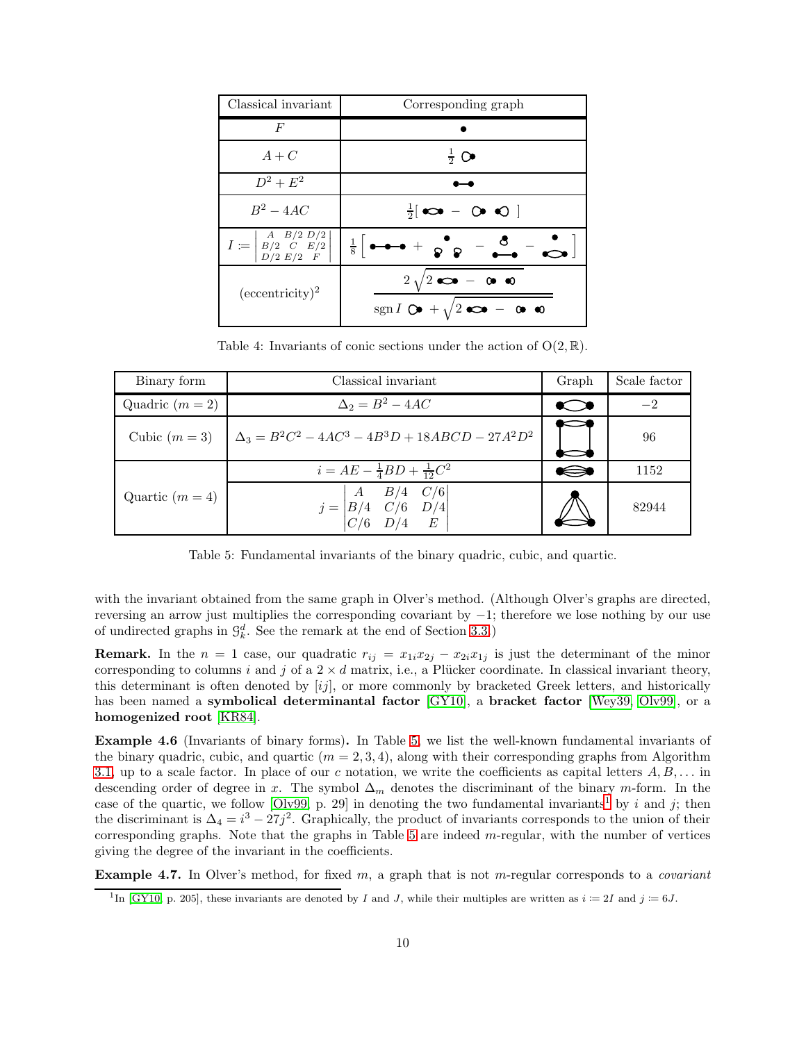<span id="page-9-1"></span>

| Classical invariant                                                                  | Corresponding graph                                                                                     |
|--------------------------------------------------------------------------------------|---------------------------------------------------------------------------------------------------------|
| F                                                                                    |                                                                                                         |
| $A+C$                                                                                | $rac{1}{2}$ $\bullet$                                                                                   |
| $D^2 + E^2$                                                                          |                                                                                                         |
| $B^2 - 4AC$                                                                          | $\frac{1}{2}$ co - 0 0                                                                                  |
| $I := \begin{pmatrix} A & B/2 & D/2 \\ B/2 & C & E/2 \\ D/2 & E/2 & F \end{pmatrix}$ | $\frac{1}{8}$ $\bullet \bullet \bullet + \bullet$ $\bullet$ $\bullet$ $\bullet$ $\bullet$               |
| $\rm (eccentricity)^2$                                                               | $2\sqrt{2}$ $\infty$ - 0 $\infty$<br>sgn $I$ $Q\bullet$ + $\sqrt{2}$ $Q\bullet$ - $Q\bullet$ $Q\bullet$ |

Table 4: Invariants of conic sections under the action of  $O(2, \mathbb{R})$ .

<span id="page-9-0"></span>

| Binary form       | Classical invariant                                                                   | Graph | Scale factor |
|-------------------|---------------------------------------------------------------------------------------|-------|--------------|
| Quadric $(m = 2)$ | $\Delta_2 = B^2 - 4AC$                                                                | ᅠ     | $-2$         |
| Cubic $(m=3)$     | $\Delta_3 = B^2C^2 - 4AC^3 - 4B^3D + 18ABCD - 27A^2D^2$                               | O     | 96           |
| Quartic $(m = 4)$ | $i = AE - \frac{1}{4}BD + \frac{1}{12}C^2$                                            | ⋟     | 1152         |
|                   | $j = \begin{vmatrix} A & B/4 & C/6 \\ B/4 & C/6 & D/4 \\ C/6 & D/4 & E \end{vmatrix}$ |       | 82944        |

Table 5: Fundamental invariants of the binary quadric, cubic, and quartic.

with the invariant obtained from the same graph in Olver's method. (Although Olver's graphs are directed, reversing an arrow just multiplies the corresponding covariant by −1; therefore we lose nothing by our use of undirected graphs in  $\mathcal{G}_{k}^{d}$ . See the remark at the end of Section [3.3.](#page-4-1))

**Remark.** In the  $n = 1$  case, our quadratic  $r_{ij} = x_{1i}x_{2j} - x_{2i}x_{1j}$  is just the determinant of the minor corresponding to columns i and j of a  $2 \times d$  matrix, i.e., a Plücker coordinate. In classical invariant theory, this determinant is often denoted by [ij], or more commonly by bracketed Greek letters, and historically has been named a **symbolical determinantal factor** [\[GY10\]](#page-17-1), a **bracket factor** [\[Wey39,](#page-18-1) [Olv99\]](#page-18-3), or a homogenized root [\[KR84\]](#page-18-7).

Example 4.6 (Invariants of binary forms). In Table [5,](#page-9-0) we list the well-known fundamental invariants of the binary quadric, cubic, and quartic  $(m = 2, 3, 4)$ , along with their corresponding graphs from Algorithm [3.1,](#page-3-1) up to a scale factor. In place of our c notation, we write the coefficients as capital letters  $A, B, \ldots$  in descending order of degree in x. The symbol  $\Delta_m$  denotes the discriminant of the binary m-form. In the case of the quartic, we follow  $[O \mid v99, p. 29]$  in denoting the two fundamental invariants<sup>[1](#page-9-2)</sup> by i and j; then the discriminant is  $\Delta_4 = i^3 - 27j^2$ . Graphically, the product of invariants corresponds to the union of their corresponding graphs. Note that the graphs in Table [5](#page-9-0) are indeed m-regular, with the number of vertices giving the degree of the invariant in the coefficients.

Example 4.7. In Olver's method, for fixed m, a graph that is not m-regular corresponds to a *covariant*

<span id="page-9-2"></span><sup>&</sup>lt;sup>1</sup>In [\[GY10,](#page-17-1) p. 205], these invariants are denoted by I and J, while their multiples are written as  $i := 2I$  and  $j := 6J$ .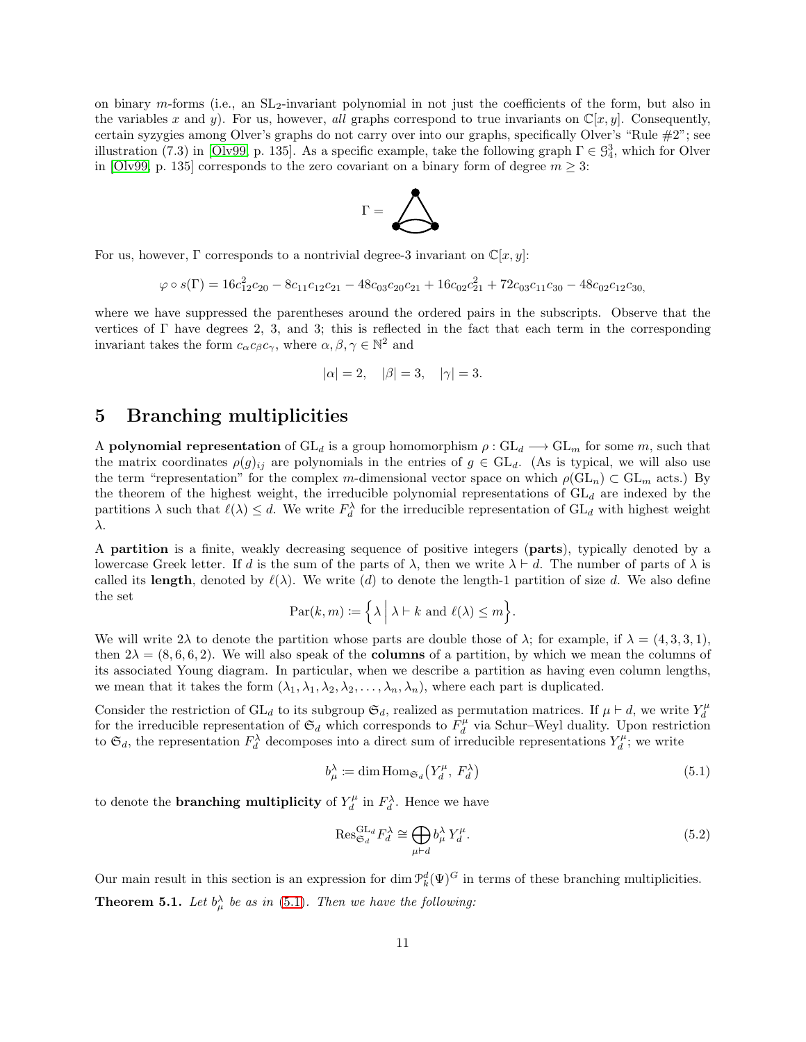on binary m-forms (i.e., an SL2-invariant polynomial in not just the coefficients of the form, but also in the variables x and y). For us, however, *all* graphs correspond to true invariants on  $\mathbb{C}[x, y]$ . Consequently, certain syzygies among Olver's graphs do not carry over into our graphs, specifically Olver's "Rule #2"; see illustration (7.3) in [\[Olv99,](#page-18-3) p. 135]. As a specific example, take the following graph  $\Gamma \in \mathcal{G}_4^3$ , which for Olver in [\[Olv99,](#page-18-3) p. 135] corresponds to the zero covariant on a binary form of degree  $m \geq 3$ :



For us, however,  $\Gamma$  corresponds to a nontrivial degree-3 invariant on  $\mathbb{C}[x, y]$ :

$$
\varphi \circ s(\Gamma) = 16c_{12}^2c_{20} - 8c_{11}c_{12}c_{21} - 48c_{03}c_{20}c_{21} + 16c_{02}c_{21}^2 + 72c_{03}c_{11}c_{30} - 48c_{02}c_{12}c_{30}
$$

where we have suppressed the parentheses around the ordered pairs in the subscripts. Observe that the vertices of  $\Gamma$  have degrees 2, 3, and 3; this is reflected in the fact that each term in the corresponding invariant takes the form  $c_{\alpha}c_{\beta}c_{\gamma}$ , where  $\alpha, \beta, \gamma \in \mathbb{N}^2$  and

$$
|\alpha| = 2, \quad |\beta| = 3, \quad |\gamma| = 3.
$$

# <span id="page-10-0"></span>5 Branching multiplicities

A polynomial representation of  $GL_d$  is a group homomorphism  $\rho: GL_d \longrightarrow GL_m$  for some m, such that the matrix coordinates  $\rho(g)_{ij}$  are polynomials in the entries of  $g \in GL_d$ . (As is typical, we will also use the term "representation" for the complex m-dimensional vector space on which  $\rho(\mathrm{GL}_n) \subset \mathrm{GL}_m$  acts.) By the theorem of the highest weight, the irreducible polynomial representations of  $GL_d$  are indexed by the partitions  $\lambda$  such that  $\ell(\lambda) \leq d$ . We write  $F_d^{\lambda}$  for the irreducible representation of  $GL_d$  with highest weight λ.

A partition is a finite, weakly decreasing sequence of positive integers (parts), typically denoted by a lowercase Greek letter. If d is the sum of the parts of  $\lambda$ , then we write  $\lambda \vdash d$ . The number of parts of  $\lambda$  is called its length, denoted by  $\ell(\lambda)$ . We write (d) to denote the length-1 partition of size d. We also define the set

$$
\operatorname{Par}(k,m) := \left\{ \lambda \mid \lambda \vdash k \text{ and } \ell(\lambda) \le m \right\}.
$$

We will write  $2\lambda$  to denote the partition whose parts are double those of  $\lambda$ ; for example, if  $\lambda = (4, 3, 3, 1)$ , then  $2\lambda = (8, 6, 6, 2)$ . We will also speak of the **columns** of a partition, by which we mean the columns of its associated Young diagram. In particular, when we describe a partition as having even column lengths, we mean that it takes the form  $(\lambda_1, \lambda_1, \lambda_2, \lambda_2, \ldots, \lambda_n, \lambda_n)$ , where each part is duplicated.

Consider the restriction of GL<sub>d</sub> to its subgroup  $\mathfrak{S}_d$ , realized as permutation matrices. If  $\mu \vdash d$ , we write  $Y_d^{\mu}$ for the irreducible representation of  $\mathfrak{S}_d$  which corresponds to  $F_d^{\mu}$  via Schur–Weyl duality. Upon restriction to  $\mathfrak{S}_d$ , the representation  $F_d^{\lambda}$  decomposes into a direct sum of irreducible representations  $Y_d^{\mu}$ ; we write

<span id="page-10-1"></span>
$$
b_{\mu}^{\lambda} := \dim \operatorname{Hom}_{\mathfrak{S}_d}(Y_d^{\mu}, F_d^{\lambda})
$$
\n
$$
(5.1)
$$

to denote the **branching multiplicity** of  $Y_d^{\mu}$  in  $F_d^{\lambda}$ . Hence we have

<span id="page-10-3"></span>
$$
\operatorname{Res}_{\mathfrak{S}_d}^{\operatorname{GL}_d} F_d^{\lambda} \cong \bigoplus_{\mu \vdash d} b_{\mu}^{\lambda} Y_d^{\mu}.
$$
 (5.2)

<span id="page-10-2"></span>Our main result in this section is an expression for dim  $\mathcal{P}_k^d(\Psi)^G$  in terms of these branching multiplicities. **Theorem 5.1.** Let  $b^{\lambda}_{\mu}$  be as in [\(5.1\)](#page-10-1). Then we have the following: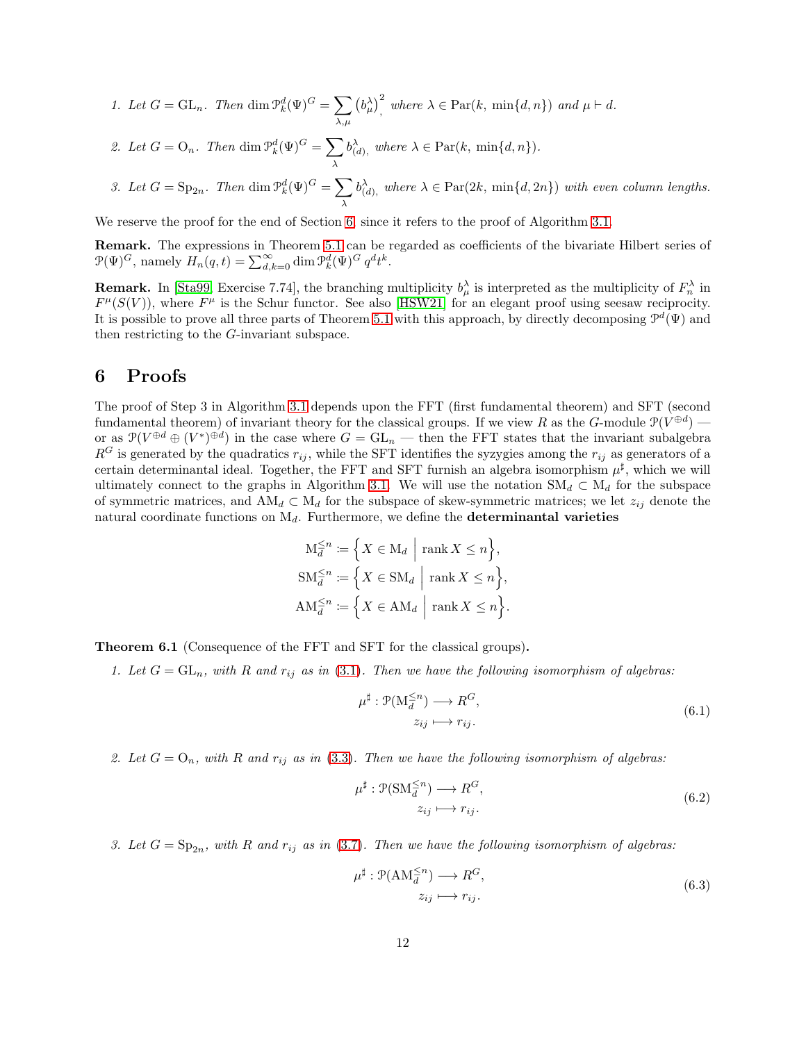- *1. Let*  $G = GL_n$ . Then  $\dim \mathcal{P}_k^d(\Psi)^G = \sum$  $_{\lambda,\mu}$  $(b_{\mu}^{\lambda})^2$ , where  $\lambda \in \text{Par}(k, \min\{d, n\})$  and  $\mu \vdash d$ .
- 2. Let  $G = O_n$ . Then dim  $\mathcal{P}_k^d(\Psi)^G = \sum$ λ  $b_{(d)}^{\lambda}$ , where  $\lambda \in \text{Par}(k, \min\{d, n\})$ .
- 3. Let  $G = \text{Sp}_{2n}$ . Then  $\dim \mathcal{P}_k^d(\Psi)^G = \sum$ λ  $b_{(d)}^{\lambda}$ , where  $\lambda \in \text{Par}(2k, \min\{d, 2n\})$  with even column lengths.

We reserve the proof for the end of Section [6,](#page-11-0) since it refers to the proof of Algorithm [3.1.](#page-3-1)

Remark. The expressions in Theorem [5.1](#page-10-2) can be regarded as coefficients of the bivariate Hilbert series of  $\mathcal{P}(\Psi)^G$ , namely  $H_n(q,t) = \sum_{d,k=0}^{\infty} \dim \mathcal{P}_k^d(\Psi)^G q^d t^k$ .

**Remark.** In [\[Sta99,](#page-18-8) Exercise 7.74], the branching multiplicity  $b^{\lambda}_{\mu}$  is interpreted as the multiplicity of  $F^{\lambda}_{n}$  in  $F^{\mu}(S(V))$ , where  $F^{\mu}$  is the Schur functor. See also [\[HSW21\]](#page-18-9) for an elegant proof using seesaw reciprocity. It is possible to prove all three parts of Theorem [5.1](#page-10-2) with this approach, by directly decomposing  $\mathcal{P}^d(\Psi)$  and then restricting to the G-invariant subspace.

# <span id="page-11-0"></span>6 Proofs

The proof of Step 3 in Algorithm [3.1](#page-3-1) depends upon the FFT (first fundamental theorem) and SFT (second fundamental theorem) of invariant theory for the classical groups. If we view R as the G-module  $\mathcal{P}(V^{\oplus d})$  or as  $\mathcal{P}(V^{\oplus d} \oplus (V^*)^{\oplus d})$  in the case where  $G = GL_n$  — then the FFT states that the invariant subalgebra  $R<sup>G</sup>$  is generated by the quadratics  $r_{ij}$ , while the SFT identifies the syzygies among the  $r_{ij}$  as generators of a certain determinantal ideal. Together, the FFT and SFT furnish an algebra isomorphism  $\mu^{\sharp}$ , which we will ultimately connect to the graphs in Algorithm [3.1.](#page-3-1) We will use the notation  $\mathrm{SM}_d \subset \mathrm{M}_d$  for the subspace of symmetric matrices, and  $AM_d \,\subset M_d$  for the subspace of skew-symmetric matrices; we let  $z_{ij}$  denote the natural coordinate functions on  $M_d$ . Furthermore, we define the **determinantal varieties** 

$$
\mathbf{M}_d^{\leq n} := \left\{ X \in \mathbf{M}_d \mid \text{rank } X \leq n \right\},
$$
  
\n
$$
\mathbf{SM}_d^{\leq n} := \left\{ X \in \mathbf{SM}_d \mid \text{rank } X \leq n \right\},
$$
  
\n
$$
\mathbf{AM}_d^{\leq n} := \left\{ X \in \mathbf{AM}_d \mid \text{rank } X \leq n \right\}.
$$

<span id="page-11-2"></span>Theorem 6.1 (Consequence of the FFT and SFT for the classical groups).

*1. Let*  $G = GL_n$ , with  $R$  *and*  $r_{ij}$  *as in* [\(3.1\)](#page-3-3). Then we have the following isomorphism of algebras:

<span id="page-11-1"></span>
$$
\mu^{\sharp} : \mathcal{P}(\mathcal{M}_d^{\leq n}) \longrightarrow R^G, \n z_{ij} \longmapsto r_{ij}.
$$
\n(6.1)

2. Let  $G = O_n$ , with R and  $r_{ij}$  as in [\(3.3\)](#page-4-2). Then we have the following isomorphism of algebras:

$$
\mu^{\sharp}: \mathcal{P}(\mathbf{SM}_d^{\leq n}) \longrightarrow R^G,
$$
  
\n
$$
z_{ij} \longmapsto r_{ij}.
$$
\n(6.2)

3. Let  $G = \mathrm{Sp}_{2n}$ , with R and  $r_{ij}$  as in [\(3.7\)](#page-5-0). Then we have the following isomorphism of algebras:

$$
\mu^{\sharp}: \mathcal{P}(\text{AM}_d^{\leq n}) \longrightarrow R^G,
$$
  
\n
$$
z_{ij} \longmapsto r_{ij}.
$$
\n(6.3)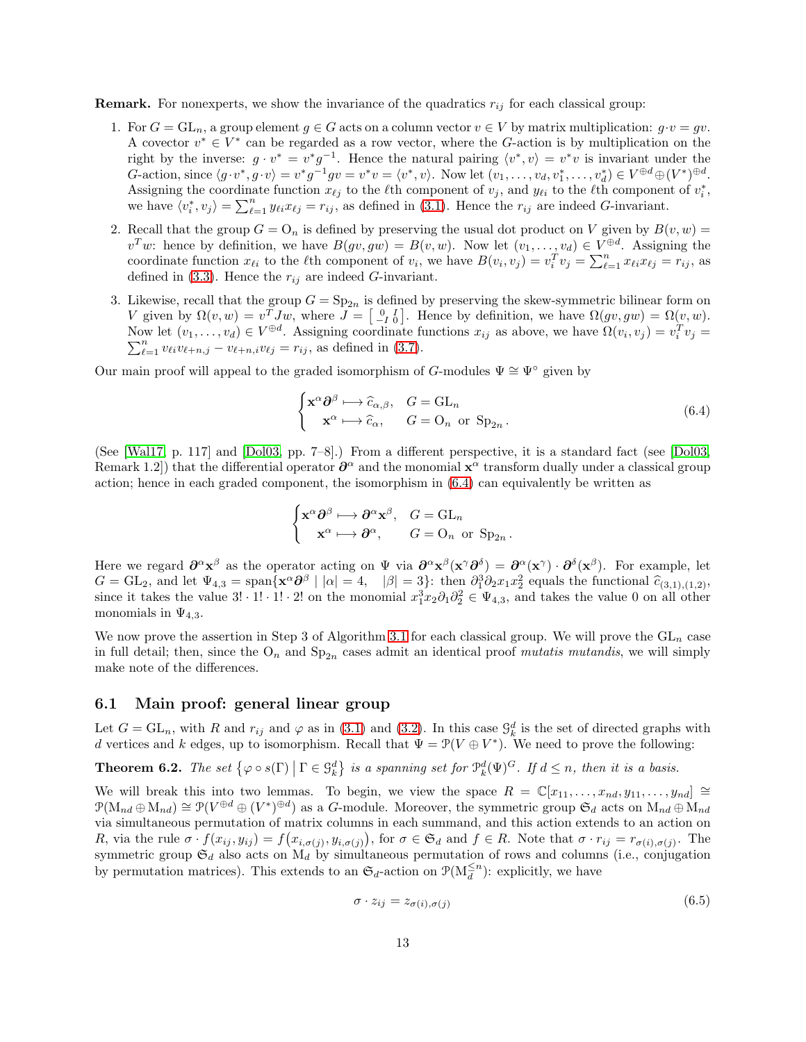**Remark.** For nonexperts, we show the invariance of the quadratics  $r_{ij}$  for each classical group:

- 1. For  $G = GL_n$ , a group element  $g \in G$  acts on a column vector  $v \in V$  by matrix multiplication:  $g \cdot v = gv$ . A covector  $v^* \in V^*$  can be regarded as a row vector, where the G-action is by multiplication on the right by the inverse:  $g \cdot v^* = v^* g^{-1}$ . Hence the natural pairing  $\langle v^*, v \rangle = v^* v$  is invariant under the G-action, since  $\langle g \cdot v^*, g \cdot v \rangle = v^* g^{-1} g v = v^* v = \langle v^*, v \rangle$ . Now let  $(v_1, \dots, v_d, v_1^*, \dots, v_d^*) \in V^{\oplus d} \oplus (V^*)^{\oplus d}$ . Assigning the coordinate function  $x_{\ell j}$  to the  $\ell$ th component of  $v_j$ , and  $y_{\ell i}$  to the  $\ell$ th component of  $v_i^*$ , we have  $\langle v_i^*, v_j \rangle = \sum_{\ell=1}^n y_{\ell i} x_{\ell j} = r_{ij}$ , as defined in [\(3.1\)](#page-3-3). Hence the  $r_{ij}$  are indeed *G*-invariant.
- 2. Recall that the group  $G = O_n$  is defined by preserving the usual dot product on V given by  $B(v, w) =$  $v^T w$ : hence by definition, we have  $B(gv, gw) = B(v, w)$ . Now let  $(v_1, \ldots, v_d) \in V^{\oplus d}$ . Assigning the coordinate function  $x_{\ell i}$  to the  $\ell$ th component of  $v_i$ , we have  $B(v_i, v_j) = v_i^T v_j = \sum_{\ell=1}^n x_{\ell i} x_{\ell j} = r_{ij}$ , as defined in  $(3.3)$ . Hence the  $r_{ij}$  are indeed G-invariant.
- 3. Likewise, recall that the group  $G = \text{Sp}_{2n}$  is defined by preserving the skew-symmetric bilinear form on V given by  $\Omega(v, w) = v^T J w$ , where  $J = \begin{bmatrix} 0 & I \\ -I & 0 \end{bmatrix}$ . Hence by definition, we have  $\Omega(gv, gw) = \Omega(v, w)$ . Now let  $(v_1, \ldots, v_d) \in V^{\oplus d}$ . Assigning coordinate functions  $x_{ij}$  as above, we have  $\Omega(v_i, v_j) = v_i^T v_j =$  $\sum_{\ell=1}^n v_{\ell i}v_{\ell+n,j} - v_{\ell+n,i}v_{\ell j} = r_{ij}$ , as defined in [\(3.7\)](#page-5-0).

Our main proof will appeal to the graded isomorphism of G-modules  $\Psi \cong \Psi^{\circ}$  given by

<span id="page-12-0"></span>
$$
\begin{cases} \mathbf{x}^{\alpha} \partial^{\beta} \longmapsto \widehat{c}_{\alpha,\beta}, & G = \mathrm{GL}_n \\ \mathbf{x}^{\alpha} \longmapsto \widehat{c}_{\alpha}, & G = \mathrm{O}_n \text{ or } \mathrm{Sp}_{2n} . \end{cases}
$$
(6.4)

.

(See [\[Wal17,](#page-18-10) p. 117] and [\[Dol03,](#page-17-4) pp. 7–8].) From a different perspective, it is a standard fact (see [\[Dol03,](#page-17-4) Remark 1.2) that the differential operator  $\partial^\alpha$  and the monomial  $\mathbf{x}^\alpha$  transform dually under a classical group action; hence in each graded component, the isomorphism in [\(6.4\)](#page-12-0) can equivalently be written as

$$
\begin{cases} \mathbf{x}^\alpha \partial^\beta \longmapsto \partial^\alpha \mathbf{x}^\beta, & G = \mathrm{GL}_n \\ \quad \mathbf{x}^\alpha \longmapsto \partial^\alpha, & G = \mathrm{O}_n \text{ or } \mathrm{Sp}_{2n} \end{cases}
$$

Here we regard  $\partial^{\alpha} x^{\beta}$  as the operator acting on  $\Psi$  via  $\partial^{\alpha} x^{\beta} (x^{\gamma} \partial^{\delta}) = \partial^{\alpha} (x^{\gamma}) \cdot \partial^{\delta} (x^{\beta})$ . For example, let  $G = GL_2$ , and let  $\Psi_{4,3} = \text{span}\{\mathbf{x}^{\alpha} \partial^{\beta} \mid |\alpha| = 4, \quad |\beta| = 3\}$ : then  $\partial_1^3 \partial_2 x_1 x_2^2$  equals the functional  $\hat{c}_{(3,1),(1,2)}$ since it takes the value  $3! \cdot 1! \cdot 1! \cdot 2!$  on the monomial  $x_1^3 x_2 \partial_1 \partial_2^2 \in \Psi_{4,3}$ , and takes the value 0 on all other monomials in  $\Psi_{4,3}$ .

We now prove the assertion in Step 3 of Algorithm [3.1](#page-3-1) for each classical group. We will prove the  $GL_n$  case in full detail; then, since the  $O_n$  and  $Sp_{2n}$  cases admit an identical proof *mutatis mutandis*, we will simply make note of the differences.

#### 6.1 Main proof: general linear group

Let  $G = GL_n$ , with R and  $r_{ij}$  and  $\varphi$  as in [\(3.1\)](#page-3-3) and [\(3.2\)](#page-3-2). In this case  $\mathcal{G}_k^d$  is the set of directed graphs with d vertices and k edges, up to isomorphism. Recall that  $\Psi = \mathcal{P}(V \oplus V^*)$ . We need to prove the following:

<span id="page-12-2"></span>**Theorem 6.2.** The set  $\{\varphi \circ s(\Gamma) \mid \Gamma \in \mathcal{G}_k^d\}$  is a spanning set for  $\mathcal{P}_k^d(\Psi)^G$ . If  $d \leq n$ , then it is a basis.

We will break this into two lemmas. To begin, we view the space  $R = \mathbb{C}[x_{11}, \ldots, x_{nd}, y_{11}, \ldots, y_{nd}] \cong$  $\mathcal{P}(\mathrm{M}_{nd} \oplus \mathrm{M}_{nd}) \cong \mathcal{P}(V^{\oplus d} \oplus (V^*)^{\oplus d})$  as a G-module. Moreover, the symmetric group  $\mathfrak{S}_d$  acts on  $\mathrm{M}_{nd} \oplus \mathrm{M}_{nd}$ via simultaneous permutation of matrix columns in each summand, and this action extends to an action on R, via the rule  $\sigma \cdot f(x_{ij}, y_{ij}) = f(x_{i, \sigma(j)}, y_{i, \sigma(j)})$ , for  $\sigma \in \mathfrak{S}_d$  and  $f \in R$ . Note that  $\sigma \cdot r_{ij} = r_{\sigma(i), \sigma(j)}$ . The symmetric group  $\mathfrak{S}_d$  also acts on  $M_d$  by simultaneous permutation of rows and columns (i.e., conjugation by permutation matrices). This extends to an  $\mathfrak{S}_d$ -action on  $\mathfrak{P}(M_d^{\leq n})$ : explicitly, we have

<span id="page-12-1"></span>
$$
\sigma \cdot z_{ij} = z_{\sigma(i),\sigma(j)} \tag{6.5}
$$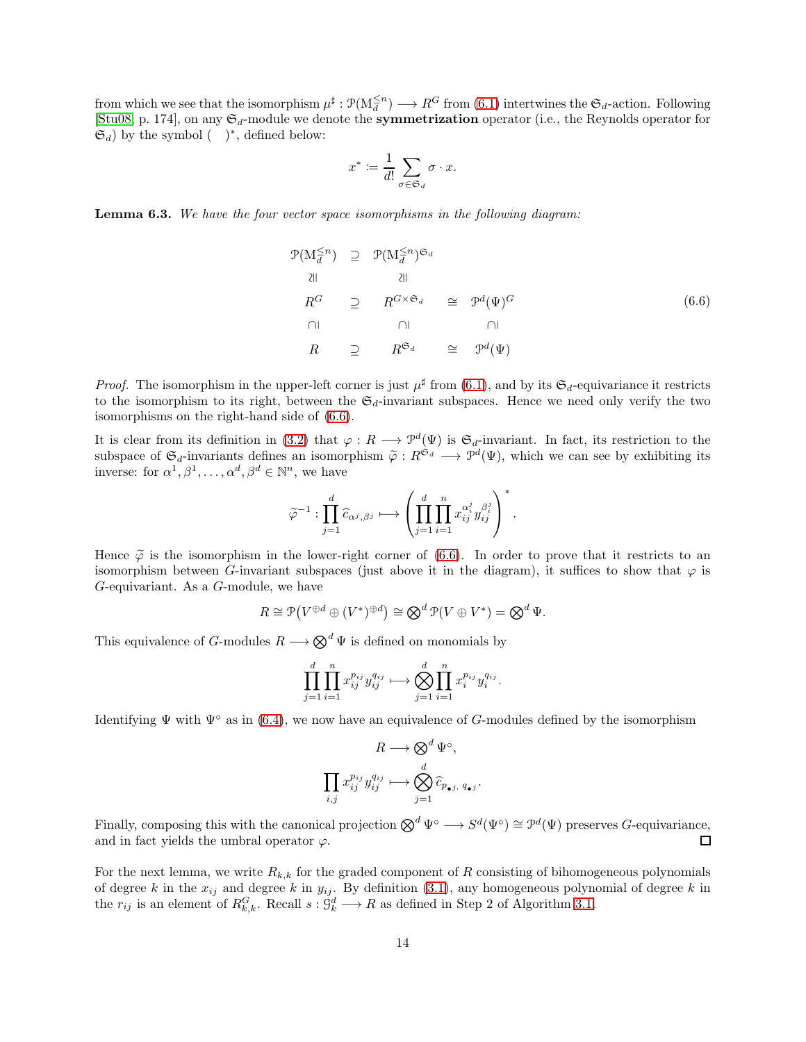from which we see that the isomorphism  $\mu^{\sharp}: \mathcal{P}(M_d^{\leq n}) \longrightarrow R^G$  from  $(6.1)$  intertwines the  $\mathfrak{S}_d$ -action. Following [\[Stu08,](#page-18-4) p. 174], on any  $\mathfrak{S}_d$ -module we denote the **symmetrization** operator (i.e., the Reynolds operator for  $(\mathfrak{S}_d)$  by the symbol  $($ )<sup>\*</sup>, defined below:

$$
x^* \coloneqq \frac{1}{d!} \sum_{\sigma \in \mathfrak{S}_d} \sigma \cdot x.
$$

<span id="page-13-1"></span>Lemma 6.3. *We have the four vector space isomorphisms in the following diagram:*

<span id="page-13-0"></span>
$$
\mathcal{P}(M_d^{\leq n}) \supseteq \mathcal{P}(M_d^{\leq n})^{\mathfrak{S}_d}
$$
  
\n
$$
\lim_{R^G} \supseteq R^{G \times \mathfrak{S}_d} \supseteq \mathcal{P}^d(\Psi)^G
$$
  
\n
$$
\lim_{R} \supseteq R^{\mathfrak{S}_d} \supseteq \mathcal{P}^d(\Psi)
$$
  
\n(6.6)

*Proof.* The isomorphism in the upper-left corner is just  $\mu^{\sharp}$  from [\(6.1\)](#page-11-1), and by its  $\mathfrak{S}_d$ -equivariance it restricts to the isomorphism to its right, between the  $\mathfrak{S}_d$ -invariant subspaces. Hence we need only verify the two isomorphisms on the right-hand side of [\(6.6\)](#page-13-0).

It is clear from its definition in [\(3.2\)](#page-3-2) that  $\varphi: R \longrightarrow \mathcal{P}^d(\Psi)$  is  $\mathfrak{S}_d$ -invariant. In fact, its restriction to the subspace of  $\mathfrak{S}_d$ -invariants defines an isomorphism  $\tilde{\varphi}: R^{\tilde{\mathfrak{S}}_d} \longrightarrow \tilde{\mathcal{P}}^d(\Psi)$ , which we can see by exhibiting its inverse: for  $\alpha^1, \beta^1, \ldots, \alpha^d, \beta^d \in \mathbb{N}^n$ , we have

$$
\widetilde{\varphi}^{-1}: \prod_{j=1}^d \widehat{c}_{\alpha^j,\beta^j} \longmapsto \left(\prod_{j=1}^d \prod_{i=1}^n x_{ij}^{\alpha_i^j}y_{ij}^{\beta_i^j}\right)^*.
$$

Hence  $\tilde{\varphi}$  is the isomorphism in the lower-right corner of [\(6.6\)](#page-13-0). In order to prove that it restricts to an isomorphism between G-invariant subspaces (just above it in the diagram), it suffices to show that  $\varphi$  is G-equivariant. As a G-module, we have

$$
R \cong \mathcal{P}(V^{\oplus d} \oplus (V^*)^{\oplus d}) \cong \bigotimes^d \mathcal{P}(V \oplus V^*) = \bigotimes^d \Psi.
$$

This equivalence of G-modules  $R \longrightarrow \mathbb{Q}^d \Psi$  is defined on monomials by

$$
\prod_{j=1}^{d} \prod_{i=1}^{n} x_{ij}^{p_{ij}} y_{ij}^{q_{ij}} \longmapsto \bigotimes_{j=1}^{d} \prod_{i=1}^{n} x_{i}^{p_{ij}} y_{i}^{q_{ij}}.
$$

Identifying  $\Psi$  with  $\Psi^{\circ}$  as in [\(6.4\)](#page-12-0), we now have an equivalence of G-modules defined by the isomorphism

$$
R \longrightarrow \bigotimes^d \Psi^{\circ},
$$
  

$$
\prod_{i,j} x_{ij}^{p_{ij}} y_{ij}^{q_{ij}} \longmapsto \bigotimes_{j=1}^d \widehat{c}_{p_{\bullet j}, q_{\bullet j}}.
$$

Finally, composing this with the canonical projection  $\bigotimes^d \Psi^{\circ} \longrightarrow S^d(\Psi^{\circ}) \cong \mathcal{P}^d(\Psi)$  preserves *G*-equivariance, and in fact yields the umbral operator  $\varphi$ . □

For the next lemma, we write  $R_{k,k}$  for the graded component of R consisting of bihomogeneous polynomials of degree k in the  $x_{ij}$  and degree k in  $y_{ij}$ . By definition [\(3.1\)](#page-3-3), any homogeneous polynomial of degree k in the  $r_{ij}$  is an element of  $R_{k,k}^G$ . Recall  $s: \mathcal{G}_k^d \longrightarrow R$  as defined in Step 2 of Algorithm [3.1.](#page-3-1)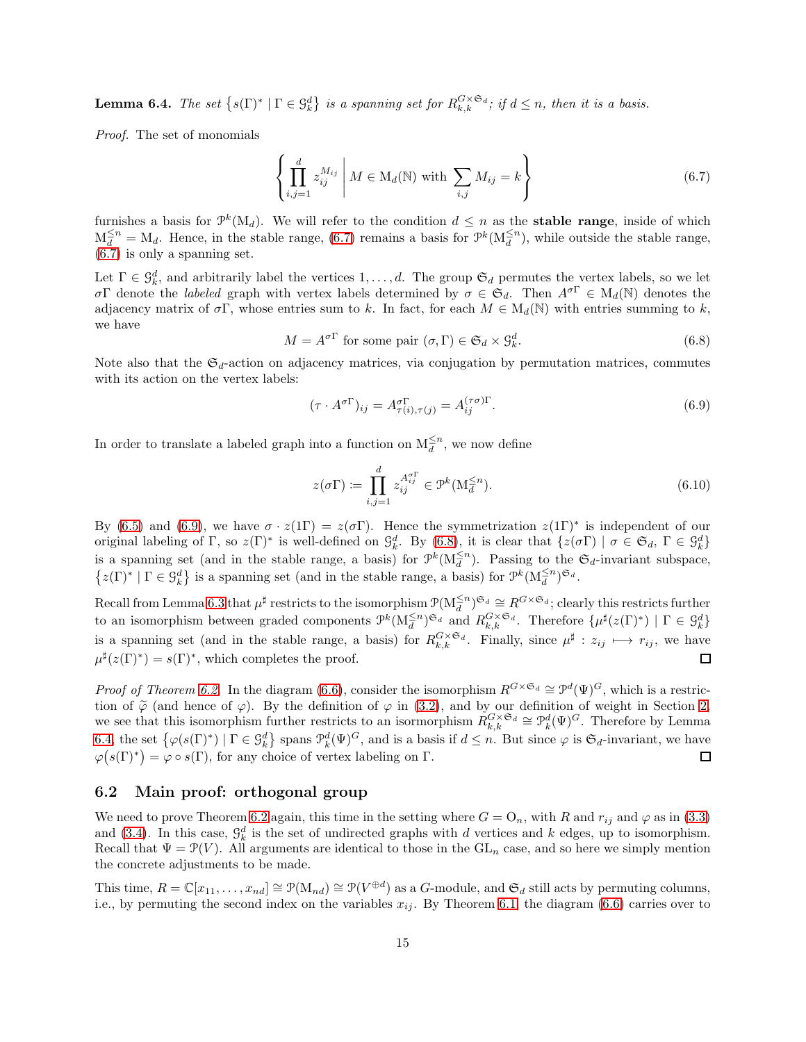<span id="page-14-3"></span>**Lemma 6.4.** *The set*  $\{s(\Gamma)^* | \Gamma \in \mathcal{G}_k^d\}$  *is a spanning set for*  $R_{k,k}^{G \times \mathfrak{S}_d}$ ; *if*  $d \leq n$ *, then it is a basis.* 

*Proof.* The set of monomials

<span id="page-14-0"></span>
$$
\left\{ \prod_{i,j=1}^{d} z_{ij}^{M_{ij}} \, \middle| \, M \in \mathcal{M}_d(\mathbb{N}) \text{ with } \sum_{i,j} M_{ij} = k \right\} \tag{6.7}
$$

furnishes a basis for  $\mathcal{P}^k(\mathbf{M}_d)$ . We will refer to the condition  $d \leq n$  as the **stable range**, inside of which  $M_d^{\leq n} = M_d$ . Hence, in the stable range, [\(6.7\)](#page-14-0) remains a basis for  $\mathcal{P}^k(M_d^{\leq n})$ , while outside the stable range, [\(6.7\)](#page-14-0) is only a spanning set.

Let  $\Gamma \in \mathcal{G}_k^d$ , and arbitrarily label the vertices  $1, \ldots, d$ . The group  $\mathfrak{S}_d$  permutes the vertex labels, so we let σΓ denote the *labeled* graph with vertex labels determined by  $\sigma \in \mathfrak{S}_d$ . Then  $A^{\sigma\Gamma} \in M_d(\mathbb{N})$  denotes the adjacency matrix of  $\sigma\Gamma$ , whose entries sum to k. In fact, for each  $M \in M_d(\mathbb{N})$  with entries summing to k, we have

> <span id="page-14-2"></span> $M = A^{\sigma \Gamma}$  for some pair  $(\sigma, \Gamma) \in \mathfrak{S}_d \times \mathfrak{G}_k^d$  $(6.8)$

Note also that the  $\mathfrak{S}_d$ -action on adjacency matrices, via conjugation by permutation matrices, commutes with its action on the vertex labels:

<span id="page-14-1"></span>
$$
(\tau \cdot A^{\sigma \Gamma})_{ij} = A^{\sigma \Gamma}_{\tau(i),\tau(j)} = A^{(\tau \sigma) \Gamma}_{ij}.
$$
\n(6.9)

In order to translate a labeled graph into a function on  $M_d^{\leq n}$ , we now define

<span id="page-14-4"></span>
$$
z(\sigma \Gamma) \coloneqq \prod_{i,j=1}^{d} z_{ij}^{A_{ij}^{\sigma \Gamma}} \in \mathcal{P}^k(\mathcal{M}_d^{\leq n}). \tag{6.10}
$$

By [\(6.5\)](#page-12-1) and [\(6.9\)](#page-14-1), we have  $\sigma \cdot z(1\Gamma) = z(\sigma \Gamma)$ . Hence the symmetrization  $z(1\Gamma)^*$  is independent of our original labeling of  $\Gamma$ , so  $z(\Gamma)^*$  is well-defined on  $\mathcal{G}_k^d$ . By [\(6.8\)](#page-14-2), it is clear that  $\{z(\sigma \Gamma) \mid \sigma \in \mathfrak{S}_d, \Gamma \in \mathcal{G}_k^d\}$ is a spanning set (and in the stable range, a basis) for  $\mathcal{P}^k(\mathcal{M}_d^{\leq n})$ . Passing to the  $\mathfrak{S}_d$ -invariant subspace,  $\{z(\Gamma)^* \mid \Gamma \in \mathcal{G}_k^d\}$  is a spanning set (and in the stable range, a basis) for  $\mathcal{P}^k(\mathcal{M}_d^{\leq n})^{\mathfrak{S}_d}$ .

Recall from Lemma [6.3](#page-13-1) that  $\mu^{\sharp}$  restricts to the isomorphism  $\mathcal{P}(M_d^{\leq n})^{\mathfrak{S}_d} \cong R^{G \times \mathfrak{S}_d}$ ; clearly this restricts further to an isomorphism between graded components  $\mathcal{P}^k(\mathcal{M}_d^{\leq n})^{\mathfrak{S}_d}$  and  $R_{k,k}^{G \times \mathfrak{S}_d}$ . Therefore  $\{\mu^{\sharp}(z(\Gamma)^*) \mid \Gamma \in \mathcal{G}_k^d\}$ is a spanning set (and in the stable range, a basis) for  $R_{k,k}^{G\times\mathfrak{S}_d}$ . Finally, since  $\mu^{\sharp}: z_{ij} \mapsto r_{ij}$ , we have  $\mu^{\sharp}(z(\Gamma)^*)=s(\Gamma)^*$ , which completes the proof.  $\Box$ 

*Proof of Theorem [6.2.](#page-12-2)* In the diagram [\(6.6\)](#page-13-0), consider the isomorphism  $R^{G \times \mathfrak{S}_d} \cong \mathcal{P}^d(\Psi)^G$ , which is a restriction of  $\tilde{\varphi}$  (and hence of  $\varphi$ ). By the definition of  $\varphi$  in [\(3.2\)](#page-3-2), and by our definition of weight in Section [2,](#page-1-0) we see that this isomorphism further restricts to an isormorphism  $R_{k,k}^{G \times \mathfrak{S}_d} \cong \mathfrak{P}_k^d$ [6.4,](#page-14-3) the set  $\{\varphi(s(\Gamma)^*) \mid \Gamma \in \mathcal{G}_k^d\}$  spans  $\mathcal{P}_k^d(\Psi)^G$ , and is a basis if  $d \leq n$ . But since  $\varphi$  is  $\mathfrak{S}_d$ -invariant, we have  $\varphi(s(\Gamma)^*) = \varphi \circ s(\Gamma)$ , for any choice of vertex labeling on  $\Gamma$ . 口

#### 6.2 Main proof: orthogonal group

We need to prove Theorem [6.2](#page-12-2) again, this time in the setting where  $G = O_n$ , with R and  $r_{ij}$  and  $\varphi$  as in [\(3.3\)](#page-4-2) and [\(3.4\)](#page-4-3). In this case,  $\mathcal{G}_k^d$  is the set of undirected graphs with d vertices and k edges, up to isomorphism. Recall that  $\Psi = \mathcal{P}(V)$ . All arguments are identical to those in the  $GL_n$  case, and so here we simply mention the concrete adjustments to be made.

This time,  $R = \mathbb{C}[x_{11}, \ldots, x_{nd}] \cong \mathcal{P}(M_{nd}) \cong \mathcal{P}(V^{\oplus d})$  as a G-module, and  $\mathfrak{S}_d$  still acts by permuting columns, i.e., by permuting the second index on the variables  $x_{ij}$ . By Theorem [6.1,](#page-11-2) the diagram [\(6.6\)](#page-13-0) carries over to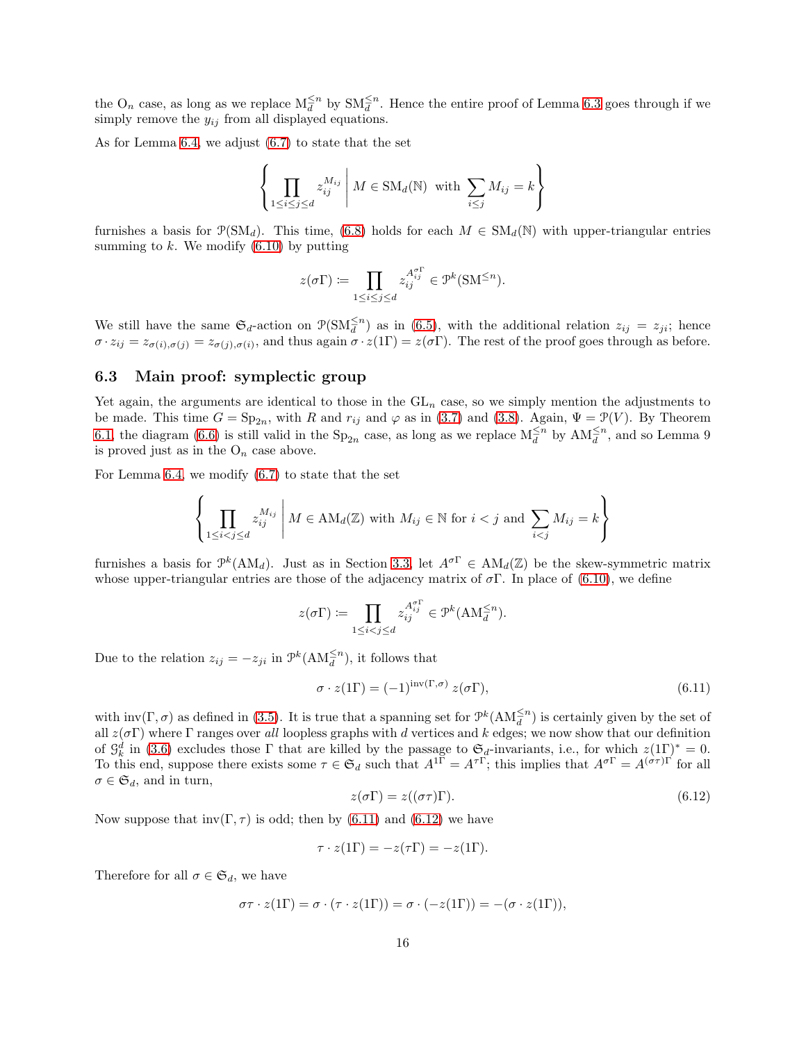the  $O_n$  case, as long as we replace  $M_d^{\leq n}$  by  $SM_d^{\leq n}$ . Hence the entire proof of Lemma [6.3](#page-13-1) goes through if we simply remove the  $y_{ij}$  from all displayed equations.

As for Lemma [6.4,](#page-14-3) we adjust [\(6.7\)](#page-14-0) to state that the set

$$
\left\{\prod_{1\leq i\leq j\leq d}z_{ij}^{M_{ij}}\,\middle|\, M\in\mathrm{SM}_d(\mathbb{N})\text{ with }\sum_{i\leq j}M_{ij}=k\right\}
$$

furnishes a basis for  $\mathcal{P}(SM_d)$ . This time, [\(6.8\)](#page-14-2) holds for each  $M \in SM_d(\mathbb{N})$  with upper-triangular entries summing to  $k$ . We modify  $(6.10)$  by putting

$$
z(\sigma\Gamma)\coloneqq\prod_{1\leq i\leq j\leq d}z_{ij}^{\mathcal{A}_{ij}^{\sigma\Gamma}}\in\mathcal{P}^k(\mathrm{SM}^{\leq n}).
$$

We still have the same  $\mathfrak{S}_d$ -action on  $\mathfrak{P}(\mathrm{SM}_{d}^{\leq n})$  as in [\(6.5\)](#page-12-1), with the additional relation  $z_{ij} = z_{ji}$ ; hence  $\sigma \cdot z_{ij} = z_{\sigma(i),\sigma(j)} = z_{\sigma(j),\sigma(i)}$ , and thus again  $\sigma \cdot z(1\Gamma) = z(\sigma \Gamma)$ . The rest of the proof goes through as before.

### 6.3 Main proof: symplectic group

Yet again, the arguments are identical to those in the  $GL_n$  case, so we simply mention the adjustments to be made. This time  $G = \text{Sp}_{2n}$ , with R and  $r_{ij}$  and  $\varphi$  as in [\(3.7\)](#page-5-0) and [\(3.8\)](#page-5-1). Again,  $\Psi = \mathcal{P}(V)$ . By Theorem [6.1,](#page-11-2) the diagram [\(6.6\)](#page-13-0) is still valid in the  $Sp_{2n}$  case, as long as we replace  $M_d^{\leq n}$  by  $AM_d^{\leq n}$ , and so Lemma 9 is proved just as in the  $O_n$  case above.

For Lemma [6.4,](#page-14-3) we modify [\(6.7\)](#page-14-0) to state that the set

$$
\left\{\prod_{1 \le i < j \le d} z_{ij}^{M_{ij}} \, \middle| \, M \in \text{AM}_d(\mathbb{Z}) \text{ with } M_{ij} \in \mathbb{N} \text{ for } i < j \text{ and } \sum_{i < j} M_{ij} = k \right\}
$$

furnishes a basis for  $\mathcal{P}^k(\text{AM}_d)$ . Just as in Section [3.3,](#page-4-1) let  $A^{\sigma\Gamma} \in \text{AM}_d(\mathbb{Z})$  be the skew-symmetric matrix whose upper-triangular entries are those of the adjacency matrix of  $\sigma$ . In place of [\(6.10\)](#page-14-4), we define

$$
z(\sigma \Gamma) \coloneqq \prod_{1 \leq i < j \leq d} z_{ij}^{\mathcal{A}_{ij}^{\sigma \Gamma}} \in \mathcal{P}^k(\mathbf{A}\mathbf{M}_{\overline{d}}^{\leq n}).
$$

Due to the relation  $z_{ij} = -z_{ji}$  in  $\mathcal{P}^k(\text{AM}_{\bar{d}}^{\leq n})$ , it follows that

<span id="page-15-0"></span>
$$
\sigma \cdot z(1\Gamma) = (-1)^{\text{inv}(\Gamma,\sigma)} z(\sigma \Gamma),\tag{6.11}
$$

with  $inv(\Gamma, \sigma)$  as defined in [\(3.5\)](#page-4-4). It is true that a spanning set for  $\mathcal{P}^k(\text{AM}_d^{\leq n})$  is certainly given by the set of all  $z(\sigma \Gamma)$  where  $\Gamma$  ranges over *all* loopless graphs with d vertices and k edges; we now show that our definition of  $\mathcal{G}_k^d$  in [\(3.6\)](#page-4-0) excludes those  $\Gamma$  that are killed by the passage to  $\mathfrak{S}_d$ -invariants, i.e., for which  $z(1\Gamma)^* = 0$ . To this end, suppose there exists some  $\tau \in \mathfrak{S}_d$  such that  $A^{1\Gamma} = A^{\tau\Gamma}$ ; this implies that  $A^{\sigma\Gamma} = A^{(\sigma\tau)\Gamma'}$  for all  $\sigma \in \mathfrak{S}_d$ , and in turn,

<span id="page-15-1"></span>
$$
z(\sigma \Gamma) = z((\sigma \tau)\Gamma). \tag{6.12}
$$

Now suppose that  $inv(\Gamma, \tau)$  is odd; then by [\(6.11\)](#page-15-0) and [\(6.12\)](#page-15-1) we have

$$
\tau \cdot z(1\Gamma) = -z(\tau \Gamma) = -z(1\Gamma).
$$

Therefore for all  $\sigma \in \mathfrak{S}_d$ , we have

$$
\sigma\tau \cdot z(1\Gamma) = \sigma \cdot (\tau \cdot z(1\Gamma)) = \sigma \cdot (-z(1\Gamma)) = -(\sigma \cdot z(1\Gamma)),
$$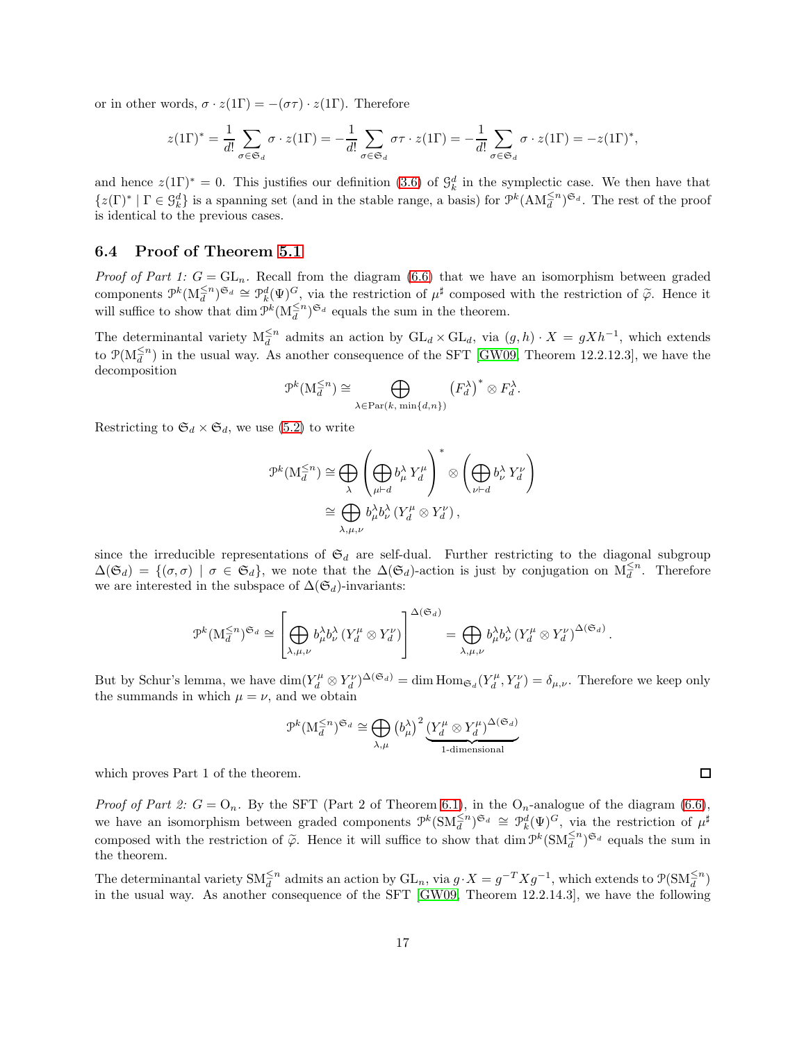or in other words,  $\sigma \cdot z(1\Gamma) = -(\sigma \tau) \cdot z(1\Gamma)$ . Therefore

$$
z(1\Gamma)^* = \frac{1}{d!} \sum_{\sigma \in \mathfrak{S}_d} \sigma \cdot z(1\Gamma) = -\frac{1}{d!} \sum_{\sigma \in \mathfrak{S}_d} \sigma \tau \cdot z(1\Gamma) = -\frac{1}{d!} \sum_{\sigma \in \mathfrak{S}_d} \sigma \cdot z(1\Gamma) = -z(1\Gamma)^*,
$$

and hence  $z(1\Gamma)^* = 0$ . This justifies our definition [\(3.6\)](#page-4-0) of  $\mathcal{G}_k^d$  in the symplectic case. We then have that  $\{z(\Gamma)^* \mid \Gamma \in \mathcal{G}_k^d\}$  is a spanning set (and in the stable range, a basis) for  $\mathcal{P}^k(\text{AM}_{\overline{d}}^{\leq n})^{\mathfrak{S}_d}$ . The rest of the proof is identical to the previous cases.

### 6.4 Proof of Theorem [5.1](#page-10-2)

*Proof of Part 1:*  $G = GL_n$ . Recall from the diagram [\(6.6\)](#page-13-0) that we have an isomorphism between graded components  $\mathcal{P}^k(M_d^{\leq n})^{\mathfrak{S}_d} \cong \mathcal{P}^d_k(\Psi)^G$ , via the restriction of  $\mu^{\sharp}$  composed with the restriction of  $\tilde{\varphi}$ . Hence it will suffice to show that  $\dim \mathcal{P}^k(\mathcal{M}_d^{\leq n})^{\mathfrak{S}_d}$  equals the sum in the theorem.

The determinantal variety  $M_d^{\leq n}$  admits an action by  $GL_d \times GL_d$ , via  $(g,h) \cdot X = gXh^{-1}$ , which extends to  $\mathcal{P}(M_d^{\leq n})$  in the usual way. As another consequence of the SFT [\[GW09,](#page-17-3) Theorem 12.2.12.3], we have the decomposition

$$
\mathcal{P}^k(\mathcal{M}_d^{\leq n}) \cong \bigoplus_{\lambda \in \text{Par}(k, \min\{d, n\})} (F_d^{\lambda})^* \otimes F_d^{\lambda}.
$$

Restricting to  $\mathfrak{S}_d \times \mathfrak{S}_d$ , we use [\(5.2\)](#page-10-3) to write

$$
\mathcal{P}^{k}(\mathcal{M}_{d}^{\leq n}) \cong \bigoplus_{\lambda} \left( \bigoplus_{\mu \vdash d} b_{\mu}^{\lambda} Y_{d}^{\mu} \right)^{*} \otimes \left( \bigoplus_{\nu \vdash d} b_{\nu}^{\lambda} Y_{d}^{\nu} \right)
$$

$$
\cong \bigoplus_{\lambda, \mu, \nu} b_{\mu}^{\lambda} b_{\nu}^{\lambda} (Y_{d}^{\mu} \otimes Y_{d}^{\nu}),
$$

since the irreducible representations of  $\mathfrak{S}_d$  are self-dual. Further restricting to the diagonal subgroup  $\Delta(\mathfrak{S}_d) = \{(\sigma, \sigma) \mid \sigma \in \mathfrak{S}_d\}$ , we note that the  $\Delta(\mathfrak{S}_d)$ -action is just by conjugation on  $M_d^{\leq n}$ . Therefore we are interested in the subspace of  $\Delta(\mathfrak{S}_d)$ -invariants:

$$
\mathcal{P}^k(M_d^{\leq n})^{\mathfrak{S}_d} \cong \left[\bigoplus_{\lambda,\mu,\nu} b_\mu^\lambda b_\nu^\lambda (Y_d^\mu \otimes Y_d^\nu) \right]^{\Delta(\mathfrak{S}_d)} = \bigoplus_{\lambda,\mu,\nu} b_\mu^\lambda b_\nu^\lambda (Y_d^\mu \otimes Y_d^\nu)^{\Delta(\mathfrak{S}_d)}.
$$

But by Schur's lemma, we have  $\dim(Y_d^{\mu} \otimes Y_d^{\nu})^{\Delta(\mathfrak{S}_d)} = \dim \text{Hom}_{\mathfrak{S}_d}(Y_d^{\mu}, Y_d^{\nu}) = \delta_{\mu,\nu}$ . Therefore we keep only the summands in which  $\mu = \nu$ , and we obtain

$$
\mathcal{P}^k(\mathcal{M}_d^{\leq n})^{\mathfrak{S}_d} \cong \bigoplus_{\lambda,\mu} \left(b_{\mu}^{\lambda}\right)^2 \underbrace{\left(Y_d^{\mu} \otimes Y_d^{\mu}\right)^{\Delta(\mathfrak{S}_d)}}_{1\text{-dimensional}}
$$

which proves Part 1 of the theorem.

*Proof of Part 2:*  $G = O_n$ . By the SFT (Part 2 of Theorem [6.1\)](#page-11-2), in the  $O_n$ -analogue of the diagram [\(6.6\)](#page-13-0), we have an isomorphism between graded components  $\mathcal{P}^k(\mathrm{SM}_{d}^{\leq n})^{\mathfrak{S}_d} \cong \mathcal{P}_k^d(\Psi)^G$ , via the restriction of  $\mu^{\sharp}$ composed with the restriction of  $\tilde{\varphi}$ . Hence it will suffice to show that dim  $\mathcal{P}^k(\mathrm{SM}_d^{\leq n})^{\mathfrak{S}_d}$  equals the sum in the theorem.

The determinantal variety  $\text{SM}_{d}^{\leq n}$  admits an action by  $\text{GL}_{n}$ , via  $g \cdot X = g^{-T} X g^{-1}$ , which extends to  $\mathcal{P}(\text{SM}_{d}^{\leq n})$ in the usual way. As another consequence of the SFT [\[GW09,](#page-17-3) Theorem 12.2.14.3], we have the following

 $\Box$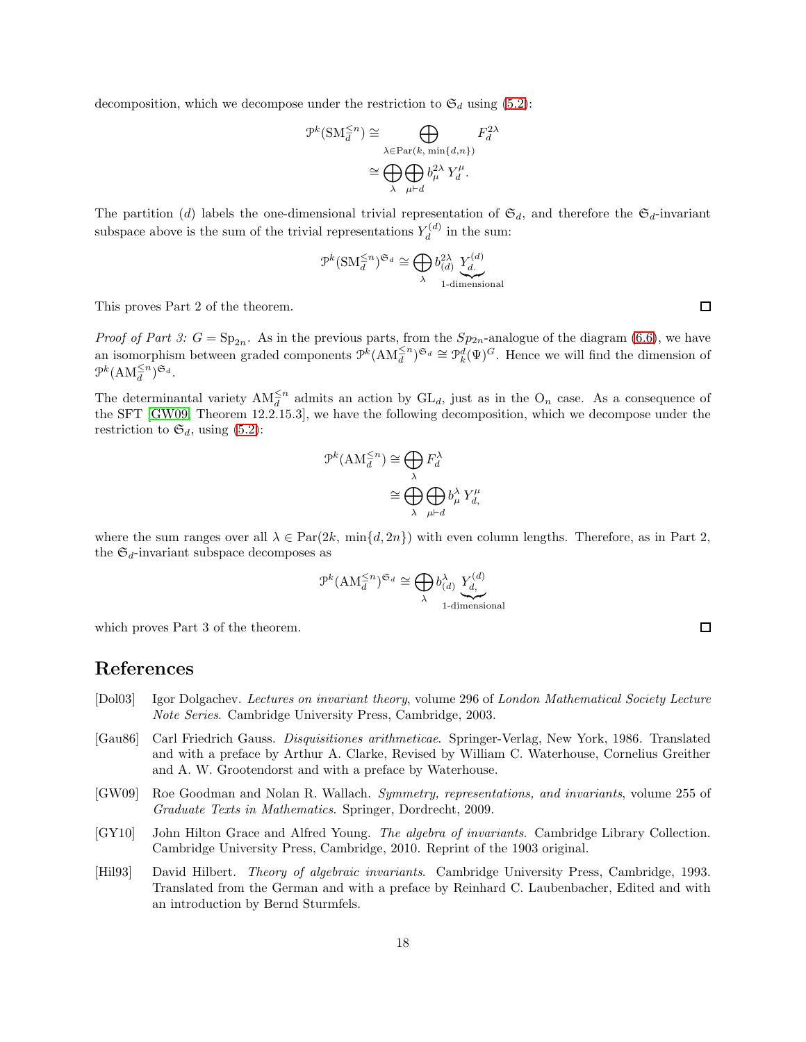decomposition, which we decompose under the restriction to  $\mathfrak{S}_d$  using [\(5.2\)](#page-10-3):

$$
\mathcal{P}^k(\text{SM}_d^{\leq n}) \cong \bigoplus_{\lambda \in \text{Par}(k, \text{ min}\{d, n\})} F_d^{2\lambda}
$$

$$
\cong \bigoplus_{\lambda} \bigoplus_{\mu \vdash d} b_{\mu}^{2\lambda} Y_d^{\mu}.
$$

The partition (d) labels the one-dimensional trivial representation of  $\mathfrak{S}_d$ , and therefore the  $\mathfrak{S}_d$ -invariant subspace above is the sum of the trivial representations  $Y_d^{(d)}$  $\tilde{d}^{(a)}$  in the sum:

$$
\mathcal{P}^k(\mathrm{SM}_d^{\leq n})^{\mathfrak{S}_d} \cong \bigoplus_{\lambda} b_{(d)}^{2\lambda} \underbrace{Y_d^{(d)}}_{\text{1-dimensional}}
$$

This proves Part 2 of the theorem.

*Proof of Part 3:*  $G = \text{Sp}_{2n}$ . As in the previous parts, from the  $Sp_{2n}$ -analogue of the diagram [\(6.6\)](#page-13-0), we have an isomorphism between graded components  $\mathcal{P}^k(\text{AM}_d^{\leq n})^{\mathfrak{S}_d} \cong \mathcal{P}_k^d(\Psi)^G$ . Hence we will find the dimension of  $\mathcal{P}^k(\text{AM}_d^{\leq n})^{\mathfrak{S}_d}.$ 

The determinantal variety  $AM_d^{\leq n}$  admits an action by  $GL_d$ , just as in the  $O_n$  case. As a consequence of the SFT [\[GW09,](#page-17-3) Theorem 12.2.15.3], we have the following decomposition, which we decompose under the restriction to  $\mathfrak{S}_d$ , using [\(5.2\)](#page-10-3):

$$
\mathcal{P}^k(\text{AM}_d^{\leq n}) \cong \bigoplus_{\lambda} F_d^{\lambda}
$$

$$
\cong \bigoplus_{\lambda} \bigoplus_{\mu \vdash d} b_{\mu}^{\lambda} Y_{d, \mu}
$$

where the sum ranges over all  $\lambda \in \text{Par}(2k, \min\{d, 2n\})$  with even column lengths. Therefore, as in Part 2, the  $\mathfrak{S}_d$ -invariant subspace decomposes as

$$
\mathcal{P}^k(\text{AM}_d^{\leq n})^{\mathfrak{S}_d} \cong \bigoplus_{\lambda} b_{(d)}^{\lambda} \underbrace{Y_{d,}^{(d)}}_{\text{1-dimensional}}
$$

which proves Part 3 of the theorem.

# References

- <span id="page-17-4"></span>[Dol03] Igor Dolgachev. *Lectures on invariant theory*, volume 296 of *London Mathematical Society Lecture Note Series*. Cambridge University Press, Cambridge, 2003.
- <span id="page-17-0"></span>[Gau86] Carl Friedrich Gauss. *Disquisitiones arithmeticae*. Springer-Verlag, New York, 1986. Translated and with a preface by Arthur A. Clarke, Revised by William C. Waterhouse, Cornelius Greither and A. W. Grootendorst and with a preface by Waterhouse.
- <span id="page-17-3"></span>[GW09] Roe Goodman and Nolan R. Wallach. *Symmetry, representations, and invariants*, volume 255 of *Graduate Texts in Mathematics*. Springer, Dordrecht, 2009.
- <span id="page-17-1"></span>[GY10] John Hilton Grace and Alfred Young. *The algebra of invariants*. Cambridge Library Collection. Cambridge University Press, Cambridge, 2010. Reprint of the 1903 original.
- <span id="page-17-2"></span>[Hil93] David Hilbert. *Theory of algebraic invariants*. Cambridge University Press, Cambridge, 1993. Translated from the German and with a preface by Reinhard C. Laubenbacher, Edited and with an introduction by Bernd Sturmfels.

 $\Box$ 

 $\Box$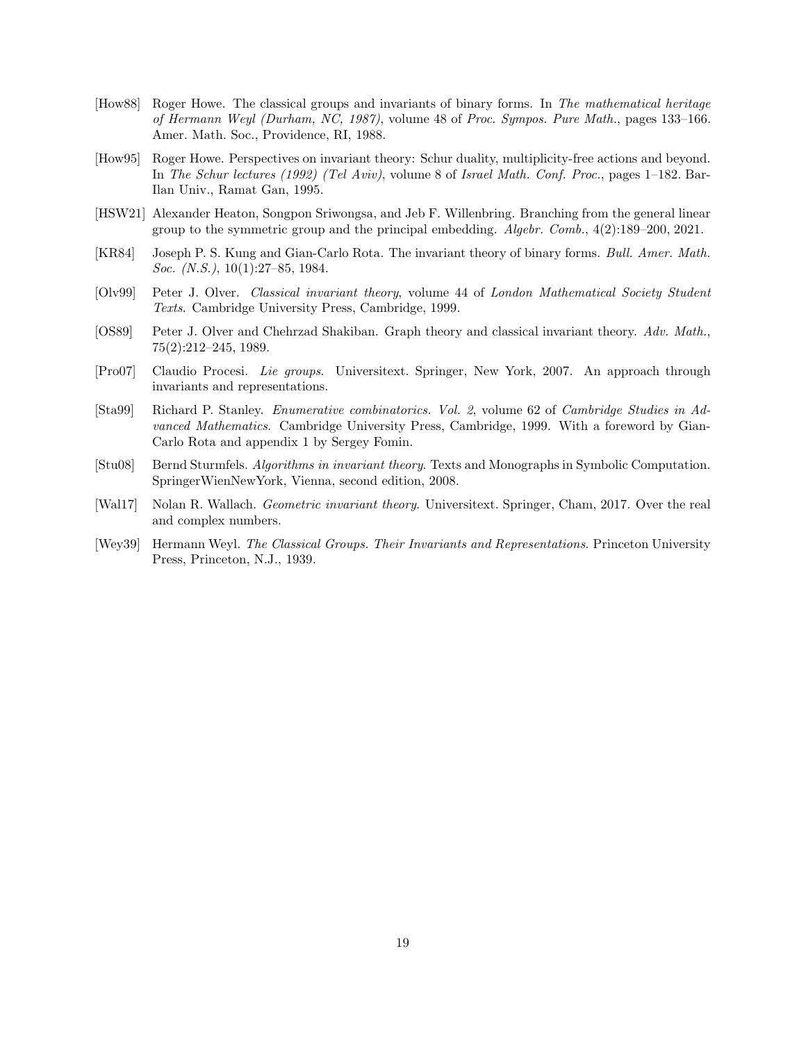- <span id="page-18-5"></span>[How88] Roger Howe. The classical groups and invariants of binary forms. In *The mathematical heritage of Hermann Weyl (Durham, NC, 1987)*, volume 48 of *Proc. Sympos. Pure Math.*, pages 133–166. Amer. Math. Soc., Providence, RI, 1988.
- <span id="page-18-2"></span>[How95] Roger Howe. Perspectives on invariant theory: Schur duality, multiplicity-free actions and beyond. In *The Schur lectures (1992) (Tel Aviv)*, volume 8 of *Israel Math. Conf. Proc.*, pages 1–182. Bar-Ilan Univ., Ramat Gan, 1995.
- <span id="page-18-9"></span>[HSW21] Alexander Heaton, Songpon Sriwongsa, and Jeb F. Willenbring. Branching from the general linear group to the symmetric group and the principal embedding. *Algebr. Comb.*, 4(2):189–200, 2021.
- <span id="page-18-7"></span>[KR84] Joseph P. S. Kung and Gian-Carlo Rota. The invariant theory of binary forms. *Bull. Amer. Math. Soc. (N.S.)*, 10(1):27–85, 1984.
- <span id="page-18-3"></span>[Olv99] Peter J. Olver. *Classical invariant theory*, volume 44 of *London Mathematical Society Student Texts*. Cambridge University Press, Cambridge, 1999.
- <span id="page-18-6"></span>[OS89] Peter J. Olver and Chehrzad Shakiban. Graph theory and classical invariant theory. *Adv. Math.*, 75(2):212–245, 1989.
- <span id="page-18-0"></span>[Pro07] Claudio Procesi. *Lie groups*. Universitext. Springer, New York, 2007. An approach through invariants and representations.
- <span id="page-18-8"></span>[Sta99] Richard P. Stanley. *Enumerative combinatorics. Vol. 2*, volume 62 of *Cambridge Studies in Advanced Mathematics*. Cambridge University Press, Cambridge, 1999. With a foreword by Gian-Carlo Rota and appendix 1 by Sergey Fomin.
- <span id="page-18-4"></span>[Stu08] Bernd Sturmfels. *Algorithms in invariant theory*. Texts and Monographs in Symbolic Computation. SpringerWienNewYork, Vienna, second edition, 2008.
- <span id="page-18-10"></span>[Wal17] Nolan R. Wallach. *Geometric invariant theory*. Universitext. Springer, Cham, 2017. Over the real and complex numbers.
- <span id="page-18-1"></span>[Wey39] Hermann Weyl. *The Classical Groups. Their Invariants and Representations*. Princeton University Press, Princeton, N.J., 1939.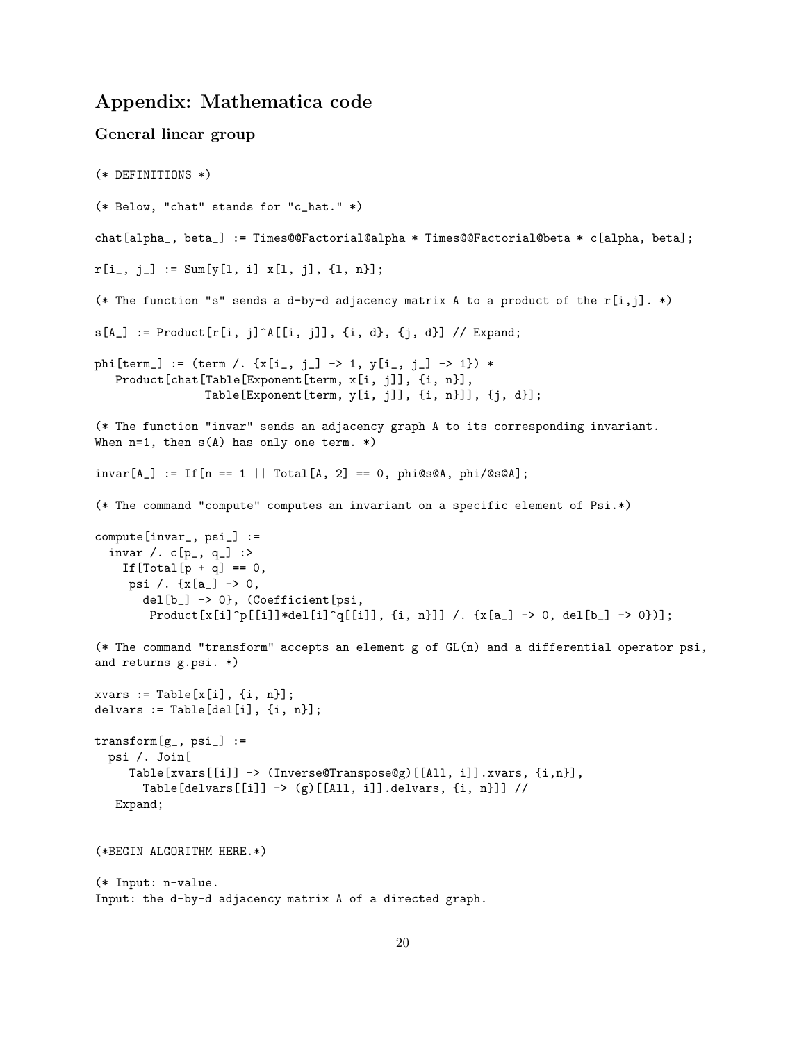# Appendix: Mathematica code

```
General linear group
(* DEFINITIONS *)
(* Below, "chat" stands for "c_hat." *)
chat[alpha_, beta_] := Times@@Factorial@alpha * Times@@Factorial@beta * c[alpha, beta];
r[i_-, j_-] := \text{Sum}[y[1, i] \times [1, j], \{1, n\}];(* The function "s" sends a d-by-d adjacency matrix A to a product of the r[i,j]. *)
s[A_] := Product[r[i, j]^A[[i, j]], \{i, d\}, \{j, d\}] // Expand;
phi[term_] := (term /. \{x[i_-, j_-] \rightarrow 1, y[i_-, j_-] \rightarrow 1\} *
   Product[chat[Table[Exponent[term, x[i, j]], {i, n}],
                 Table[Exponent[term, y[i, j]], {i, n}]], {j, d}];
(* The function "invar" sends an adjacency graph A to its corresponding invariant.
When n=1, then s(A) has only one term. *)
invar[A_] := If[n == 1 | | Total[A, 2] == 0, phi@s@A, phi@s@A];(* The command "compute" computes an invariant on a specific element of Psi.*)
compute[invar_, psi_] :=
  invar /. c[p_-, q_-] :>
    If [Total[p + q] == 0,psi /. {x[a_] -> 0,
       del[b_] -> 0}, (Coefficient[psi,
        {\tt Product[x[i]\hat{p}[[i]]*del[i]\hat{q}[[i]],\,\{i\,,\,\,n\}]]\,\,/\,.}\,\,\{x[a\_] \;\rightarrow\; 0,\,\, \text{del}[b\_] \;\rightarrow\; 0\})];}(* The command "transform" accepts an element g of GL(n) and a differential operator psi,
and returns g.psi. *)
xvars := Table[x[i], \{i, n\}];delvars := Table[del[i], {i, n}];
transform[g_-, psi_] :=
  psi /. Join[
     Table[xvars[[i]] -> (Inverse@Transpose@g)[[All, i]].xvars, {i,n}],
       Table[delvars[[i]] \rightarrow (g)[[All, i]].delvars, {i, n}]] //
   Expand;
(*BEGIN ALGORITHM HERE.*)
(* Input: n-value.
Input: the d-by-d adjacency matrix A of a directed graph.
```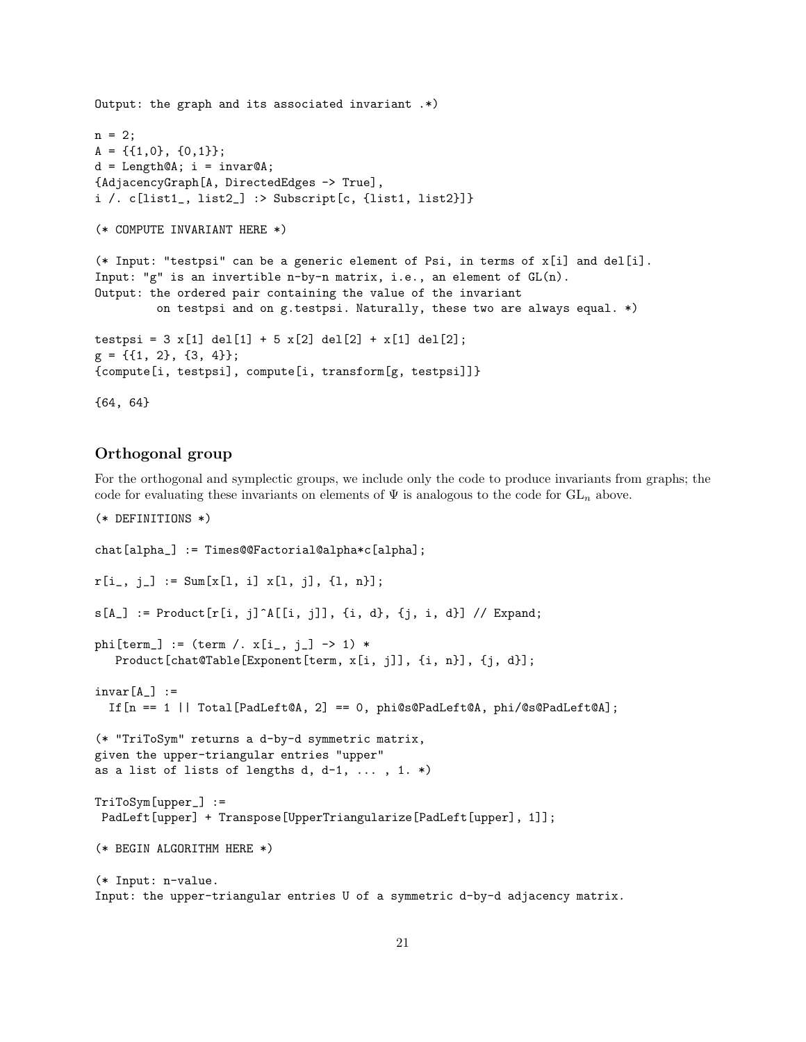```
Output: the graph and its associated invariant .*)
n = 2;A = \{\{1,0\}, \{0,1\}\};d = Length@A; i = invar@A;{AdjacencyGraph[A, DirectedEdges -> True],
i /. c[list1_, list2_] :> Subscript[c, {list1, list2}]}
(* COMPUTE INVARIANT HERE *)
(* Input: "testpsi" can be a generic element of Psi, in terms of x[i] and del[i].
Input: "g" is an invertible n-by-n matrix, i.e., an element of GL(n).
Output: the ordered pair containing the value of the invariant
         on testpsi and on g.testpsi. Naturally, these two are always equal. *)
testpsi = 3 x[1] del[1] + 5 x[2] del[2] + x[1] del[2];
g = \{\{1, 2\}, \{3, 4\}\};{compute[i, testpsi], compute[i, transform[g, testpsi]]}
{64, 64}
```
#### Orthogonal group

For the orthogonal and symplectic groups, we include only the code to produce invariants from graphs; the code for evaluating these invariants on elements of  $\Psi$  is analogous to the code for  $GL_n$  above.

```
(* DEFINITIONS *)
chat[alpha_] := Times@@Factorial@alpha*c[alpha];
r[i_-, j_-] := \text{Sum}[x[1, i] \ x[1, j], \{1, n\}];s[A_] := Product[r[i, j]^A[[i, j]], \{i, d\}, \{j, i, d\}] // Expand;
phi[term] := (term / . x[i_-, j_-] \rightarrow 1) *Product[chat@Table[Exponent[term, x[i, j]], {i, n}], {j, d}];
invar[A_] :=
  If[n == 1 | | Total[PadLeft@A, 2] == 0, phi@s@PadLeft@A, phi@s@PadLeft@A];(* "TriToSym" returns a d-by-d symmetric matrix,
given the upper-triangular entries "upper"
as a list of lists of lengths d, d-1, \ldots, 1. *)
TriToSym[upper_] :=
PadLeft[upper] + Transpose[UpperTriangularize[PadLeft[upper], 1]];
(* BEGIN ALGORITHM HERE *)
(* Input: n-value.
Input: the upper-triangular entries U of a symmetric d-by-d adjacency matrix.
```